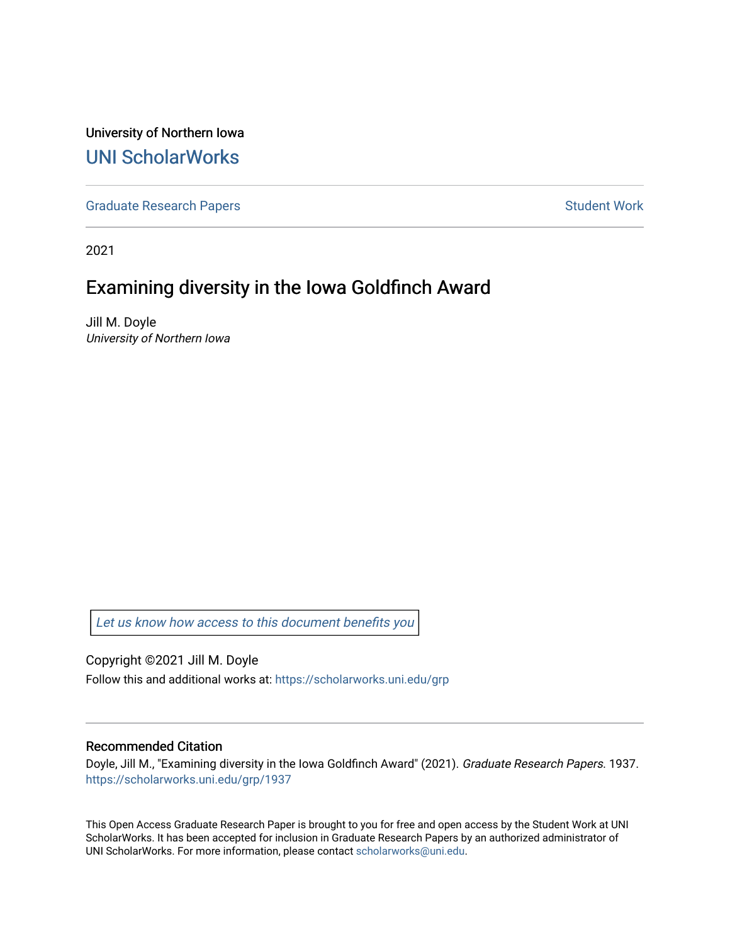University of Northern Iowa [UNI ScholarWorks](https://scholarworks.uni.edu/) 

[Graduate Research Papers](https://scholarworks.uni.edu/grp) **Student Work** Student Work

2021

# Examining diversity in the Iowa Goldfinch Award

Jill M. Doyle University of Northern Iowa

[Let us know how access to this document benefits you](https://scholarworks.uni.edu/feedback_form.html) 

Copyright ©2021 Jill M. Doyle Follow this and additional works at: [https://scholarworks.uni.edu/grp](https://scholarworks.uni.edu/grp?utm_source=scholarworks.uni.edu%2Fgrp%2F1937&utm_medium=PDF&utm_campaign=PDFCoverPages) 

## Recommended Citation

Doyle, Jill M., "Examining diversity in the Iowa Goldfinch Award" (2021). Graduate Research Papers. 1937. [https://scholarworks.uni.edu/grp/1937](https://scholarworks.uni.edu/grp/1937?utm_source=scholarworks.uni.edu%2Fgrp%2F1937&utm_medium=PDF&utm_campaign=PDFCoverPages) 

This Open Access Graduate Research Paper is brought to you for free and open access by the Student Work at UNI ScholarWorks. It has been accepted for inclusion in Graduate Research Papers by an authorized administrator of UNI ScholarWorks. For more information, please contact [scholarworks@uni.edu.](mailto:scholarworks@uni.edu)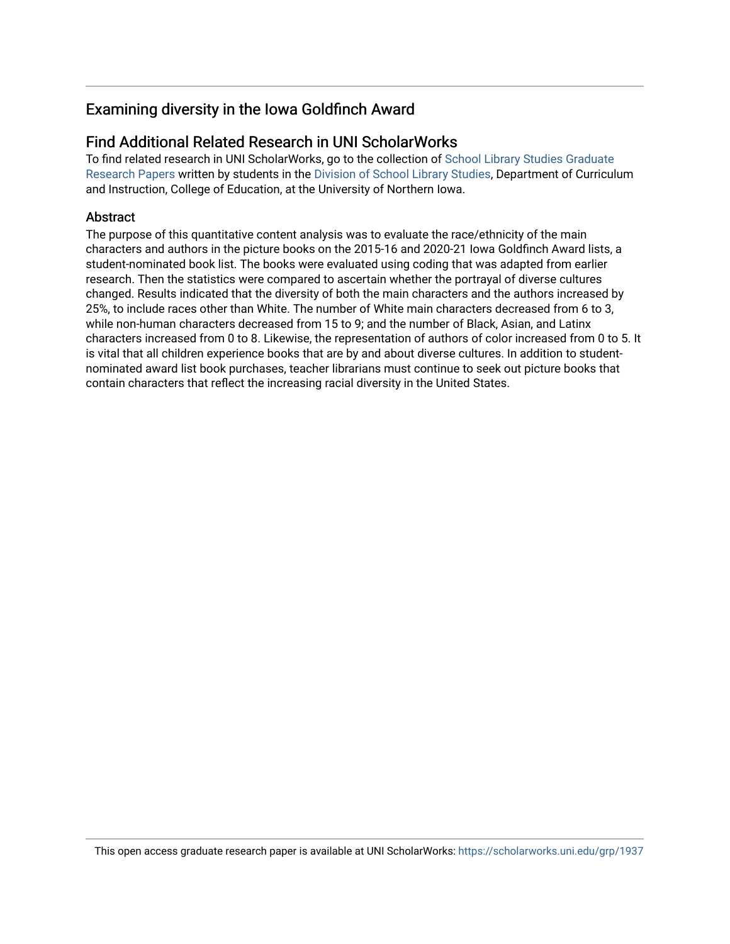# Examining diversity in the Iowa Goldfinch Award

## Find Additional Related Research in UNI ScholarWorks

To find related research in UNI ScholarWorks, go to the collection of [School Library Studies Graduate](http://scholarworks.uni.edu/sls_grp/) [Research Papers](http://scholarworks.uni.edu/sls_grp/) written by students in the [Division of School Library Studies,](http://scholarworks.uni.edu/sls/) Department of Curriculum and Instruction, College of Education, at the University of Northern Iowa.

## **Abstract**

The purpose of this quantitative content analysis was to evaluate the race/ethnicity of the main characters and authors in the picture books on the 2015-16 and 2020-21 Iowa Goldfinch Award lists, a student-nominated book list. The books were evaluated using coding that was adapted from earlier research. Then the statistics were compared to ascertain whether the portrayal of diverse cultures changed. Results indicated that the diversity of both the main characters and the authors increased by 25%, to include races other than White. The number of White main characters decreased from 6 to 3, while non-human characters decreased from 15 to 9; and the number of Black, Asian, and Latinx characters increased from 0 to 8. Likewise, the representation of authors of color increased from 0 to 5. It is vital that all children experience books that are by and about diverse cultures. In addition to studentnominated award list book purchases, teacher librarians must continue to seek out picture books that contain characters that reflect the increasing racial diversity in the United States.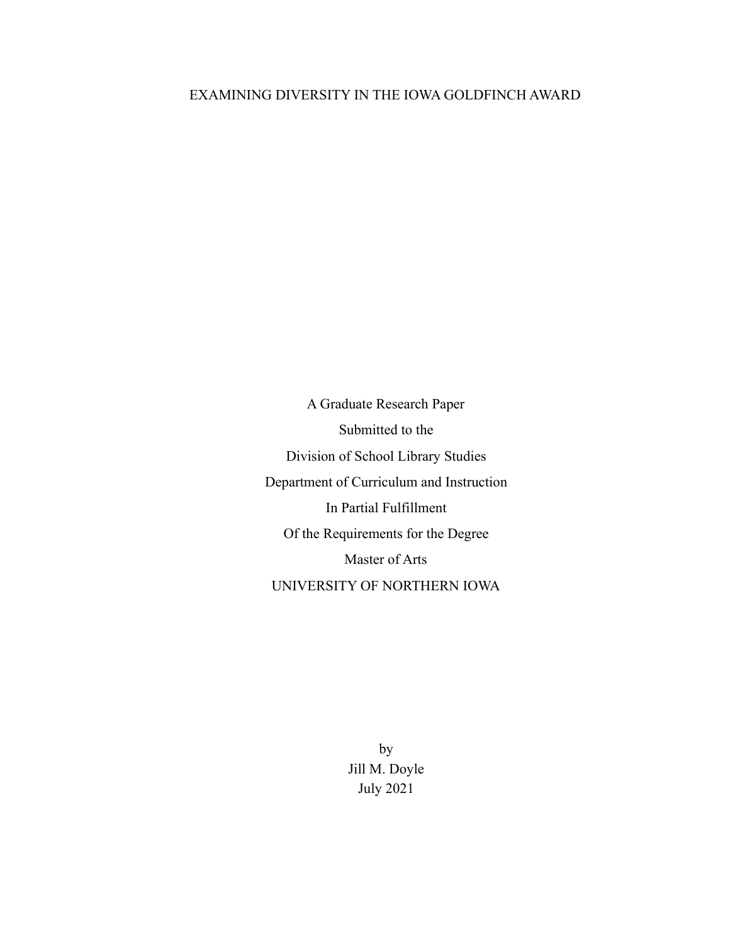## EXAMINING DIVERSITY IN THE IOWA GOLDFINCH AWARD

A Graduate Research Paper Submitted to the Division of School Library Studies Department of Curriculum and Instruction In Partial Fulfillment Of the Requirements for the Degree Master of Arts UNIVERSITY OF NORTHERN IOWA

> by Jill M. Doyle July 2021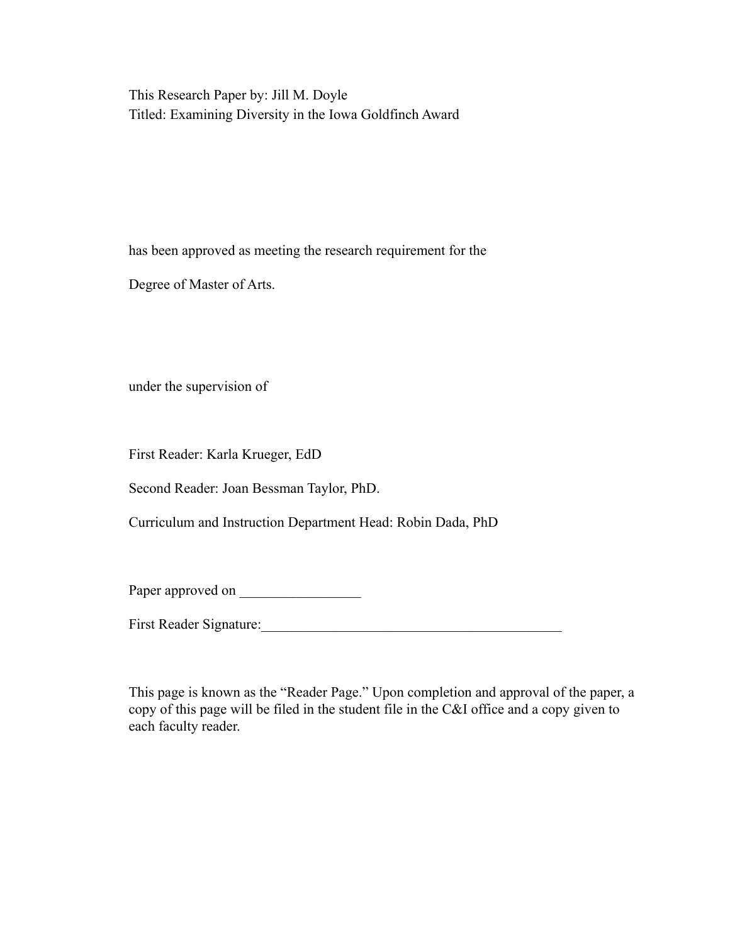This Research Paper by: Jill M. Doyle Titled: Examining Diversity in the Iowa Goldfinch Award

has been approved as meeting the research requirement for the

Degree of Master of Arts.

under the supervision of

First Reader: Karla Krueger, EdD

Second Reader: Joan Bessman Taylor, PhD.

Curriculum and Instruction Department Head: Robin Dada, PhD

Paper approved on \_\_\_\_\_\_\_\_\_\_\_\_\_\_\_\_\_

First Reader Signature:

This page is known as the "Reader Page." Upon completion and approval of the paper, a copy of this page will be filed in the student file in the C&I office and a copy given to each faculty reader.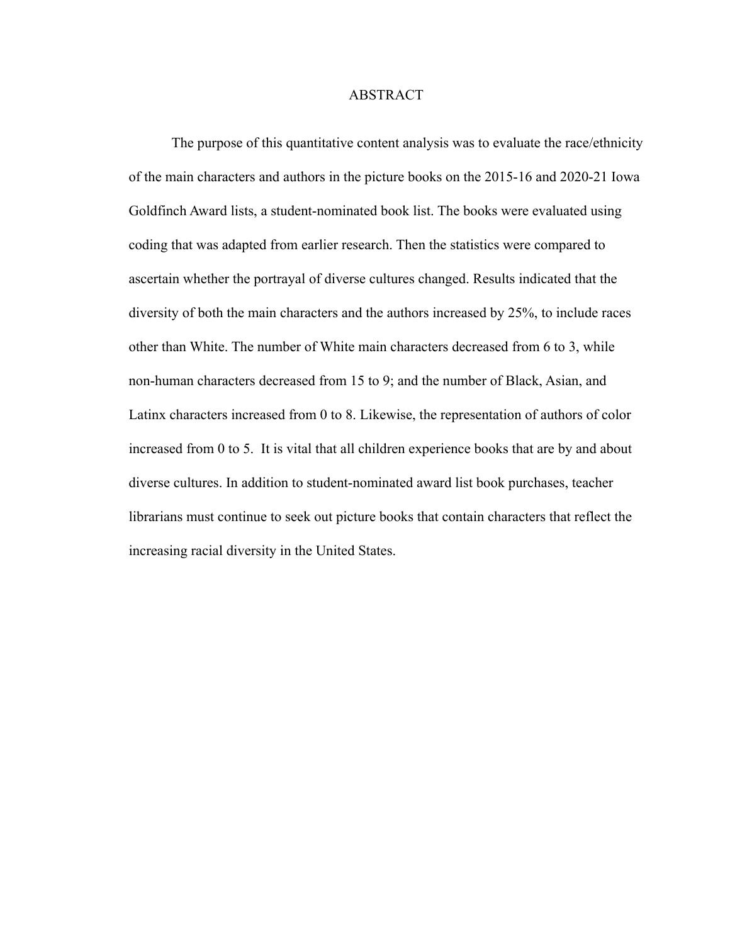#### ABSTRACT

The purpose of this quantitative content analysis was to evaluate the race/ethnicity of the main characters and authors in the picture books on the 2015-16 and 2020-21 Iowa Goldfinch Award lists, a student-nominated book list. The books were evaluated using coding that was adapted from earlier research. Then the statistics were compared to ascertain whether the portrayal of diverse cultures changed. Results indicated that the diversity of both the main characters and the authors increased by 25%, to include races other than White. The number of White main characters decreased from 6 to 3, while non-human characters decreased from 15 to 9; and the number of Black, Asian, and Latinx characters increased from 0 to 8. Likewise, the representation of authors of color increased from 0 to 5. It is vital that all children experience books that are by and about diverse cultures. In addition to student-nominated award list book purchases, teacher librarians must continue to seek out picture books that contain characters that reflect the increasing racial diversity in the United States.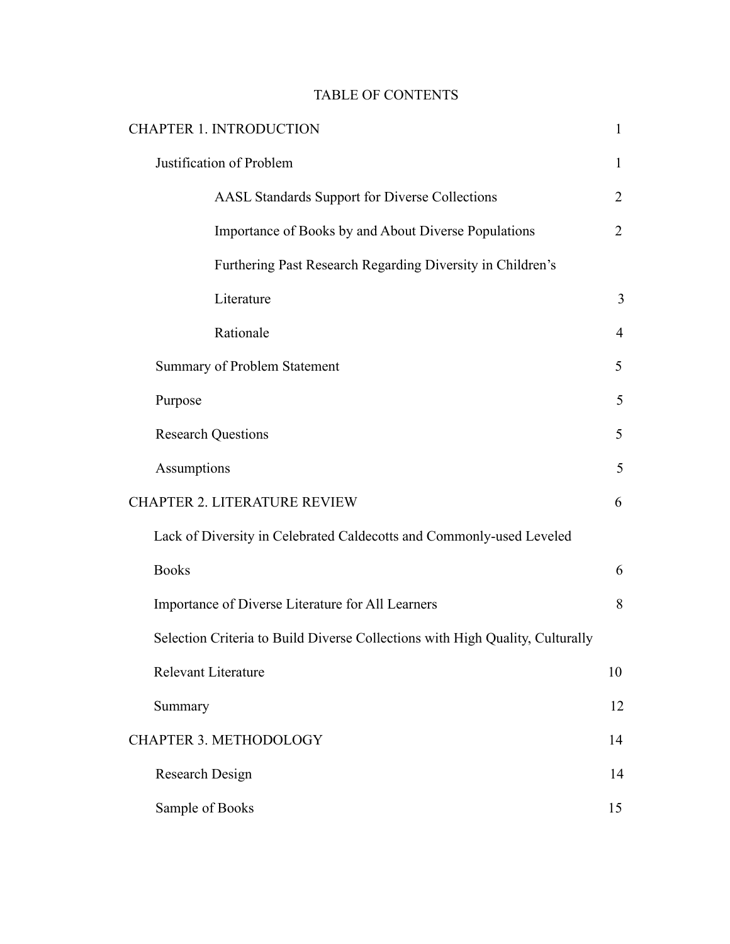# TABLE OF CONTENTS

| <b>CHAPTER 1. INTRODUCTION</b>                                                | $\mathbf{1}$   |
|-------------------------------------------------------------------------------|----------------|
| Justification of Problem                                                      | $\mathbf{1}$   |
| <b>AASL Standards Support for Diverse Collections</b>                         | $\overline{2}$ |
| Importance of Books by and About Diverse Populations                          | $\overline{2}$ |
| Furthering Past Research Regarding Diversity in Children's                    |                |
| Literature                                                                    | 3              |
| Rationale                                                                     | $\overline{4}$ |
| Summary of Problem Statement                                                  | 5              |
| Purpose                                                                       | 5              |
| <b>Research Questions</b>                                                     | 5              |
| Assumptions                                                                   | 5              |
| <b>CHAPTER 2. LITERATURE REVIEW</b>                                           | 6              |
| Lack of Diversity in Celebrated Caldecotts and Commonly-used Leveled          |                |
| <b>Books</b>                                                                  | 6              |
| Importance of Diverse Literature for All Learners                             | 8              |
| Selection Criteria to Build Diverse Collections with High Quality, Culturally |                |
| <b>Relevant Literature</b>                                                    | 10             |
| Summary                                                                       | 12             |
| <b>CHAPTER 3. METHODOLOGY</b>                                                 | 14             |
| Research Design                                                               | 14             |
| Sample of Books                                                               | 15             |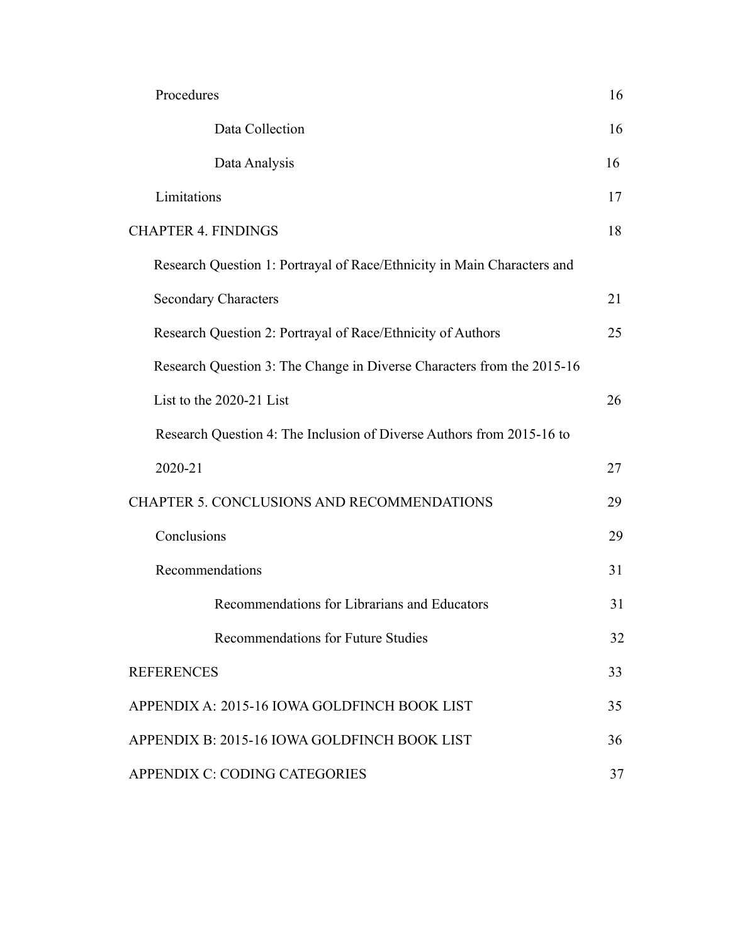| Procedures                                                              | 16 |
|-------------------------------------------------------------------------|----|
| Data Collection                                                         | 16 |
| Data Analysis                                                           | 16 |
| Limitations                                                             | 17 |
| <b>CHAPTER 4. FINDINGS</b>                                              | 18 |
| Research Question 1: Portrayal of Race/Ethnicity in Main Characters and |    |
| <b>Secondary Characters</b>                                             | 21 |
| Research Question 2: Portrayal of Race/Ethnicity of Authors             | 25 |
| Research Question 3: The Change in Diverse Characters from the 2015-16  |    |
| List to the $2020-21$ List                                              | 26 |
| Research Question 4: The Inclusion of Diverse Authors from 2015-16 to   |    |
| 2020-21                                                                 | 27 |
| <b>CHAPTER 5. CONCLUSIONS AND RECOMMENDATIONS</b>                       | 29 |
| Conclusions                                                             | 29 |
| Recommendations                                                         | 31 |
| Recommendations for Librarians and Educators                            | 31 |
| <b>Recommendations for Future Studies</b>                               | 32 |
| <b>REFERENCES</b>                                                       | 33 |
| APPENDIX A: 2015-16 IOWA GOLDFINCH BOOK LIST                            | 35 |
| APPENDIX B: 2015-16 IOWA GOLDFINCH BOOK LIST                            | 36 |
| APPENDIX C: CODING CATEGORIES                                           | 37 |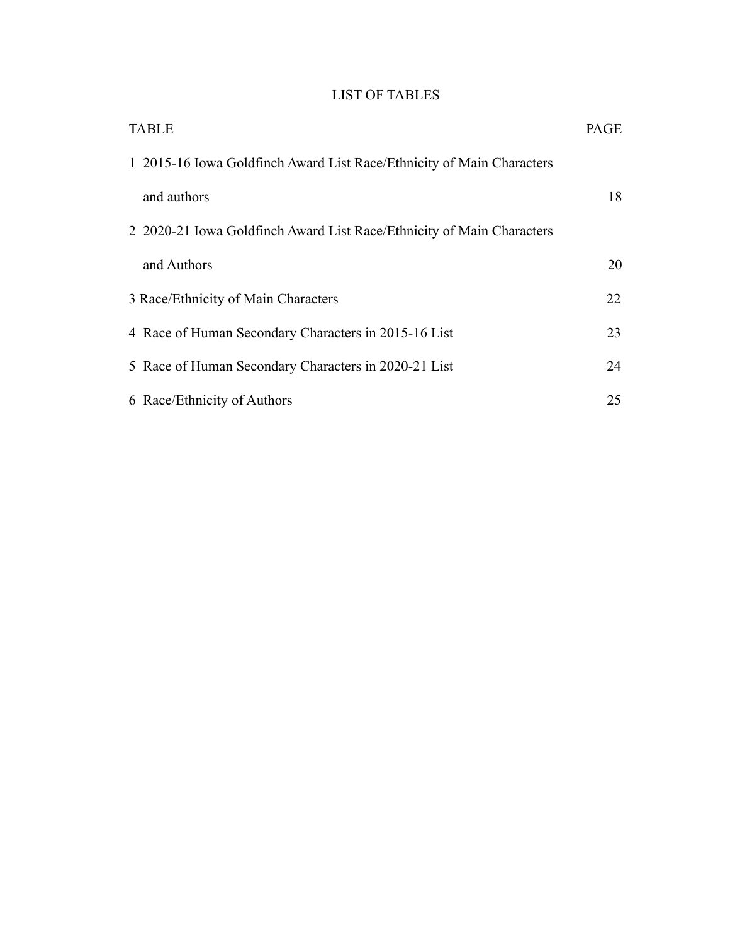# LIST OF TABLES

| <b>TABLE</b>                                                          | PAGE |
|-----------------------------------------------------------------------|------|
| 1 2015-16 Iowa Goldfinch Award List Race/Ethnicity of Main Characters |      |
| and authors                                                           | 18   |
| 2 2020-21 Iowa Goldfinch Award List Race/Ethnicity of Main Characters |      |
| and Authors                                                           | 20   |
| 3 Race/Ethnicity of Main Characters                                   | 22   |
| 4 Race of Human Secondary Characters in 2015-16 List                  | 23   |
| 5 Race of Human Secondary Characters in 2020-21 List                  | 24   |
| 6 Race/Ethnicity of Authors                                           | 25   |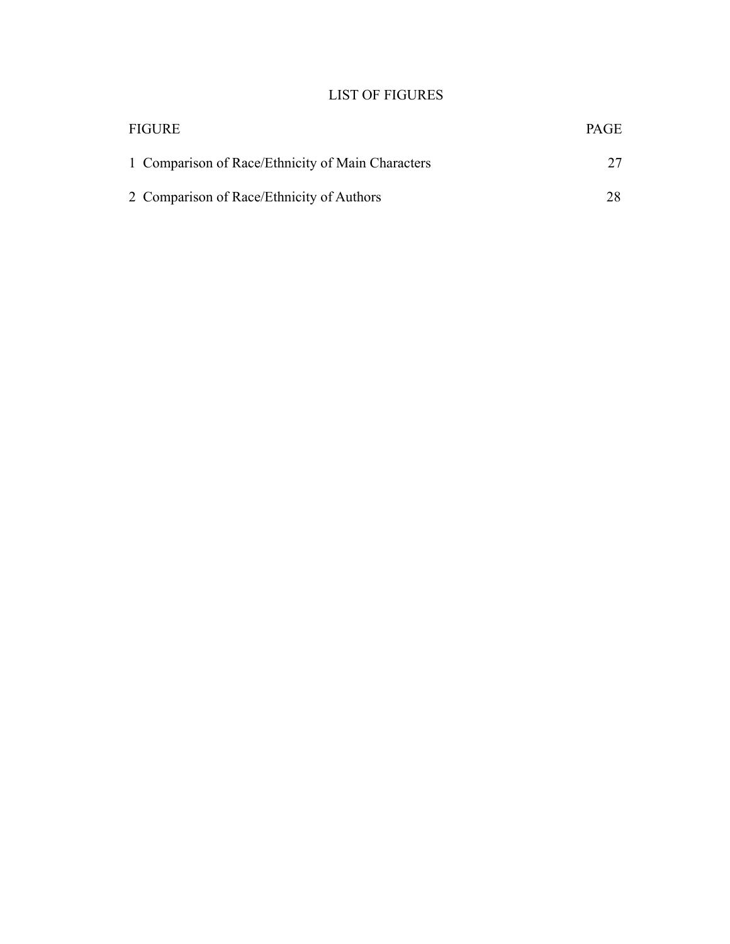# LIST OF FIGURES

| <b>FIGURE</b>                                     | <b>PAGE</b> |
|---------------------------------------------------|-------------|
| 1 Comparison of Race/Ethnicity of Main Characters |             |
| 2 Comparison of Race/Ethnicity of Authors         | 28          |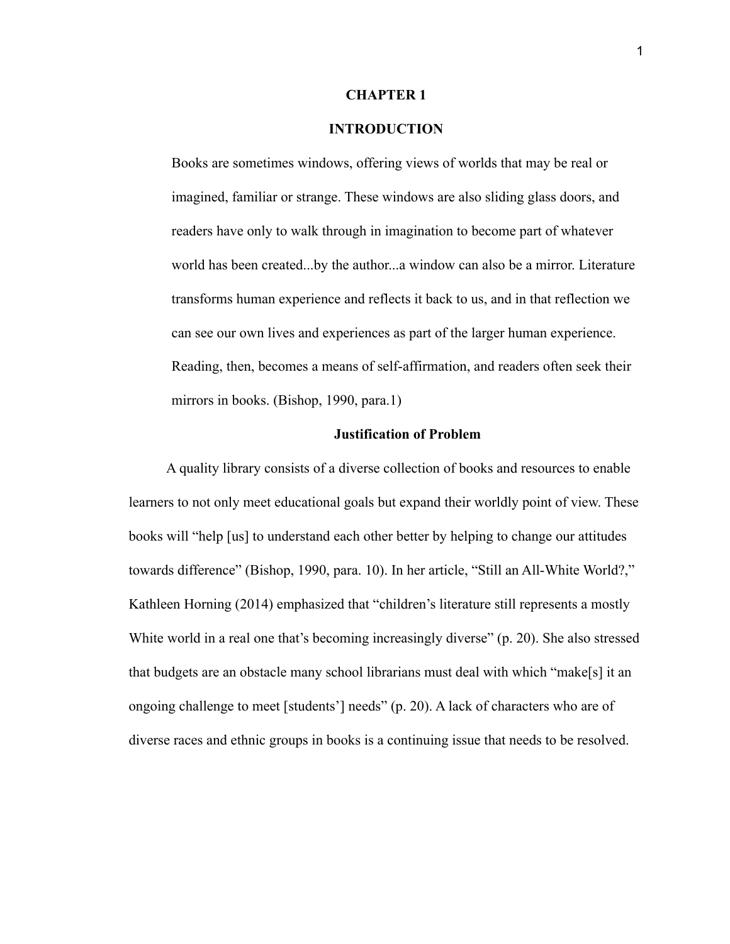#### **CHAPTER 1**

## **INTRODUCTION**

Books are sometimes windows, offering views of worlds that may be real or imagined, familiar or strange. These windows are also sliding glass doors, and readers have only to walk through in imagination to become part of whatever world has been created...by the author...a window can also be a mirror. Literature transforms human experience and reflects it back to us, and in that reflection we can see our own lives and experiences as part of the larger human experience. Reading, then, becomes a means of self-affirmation, and readers often seek their mirrors in books. (Bishop, 1990, para.1)

## **Justification of Problem**

A quality library consists of a diverse collection of books and resources to enable learners to not only meet educational goals but expand their worldly point of view. These books will "help [us] to understand each other better by helping to change our attitudes towards difference" (Bishop, 1990, para. 10). In her article, "Still an All-White World?," Kathleen Horning (2014) emphasized that "children's literature still represents a mostly White world in a real one that's becoming increasingly diverse" (p. 20). She also stressed that budgets are an obstacle many school librarians must deal with which "make[s] it an ongoing challenge to meet [students'] needs" (p. 20). A lack of characters who are of diverse races and ethnic groups in books is a continuing issue that needs to be resolved.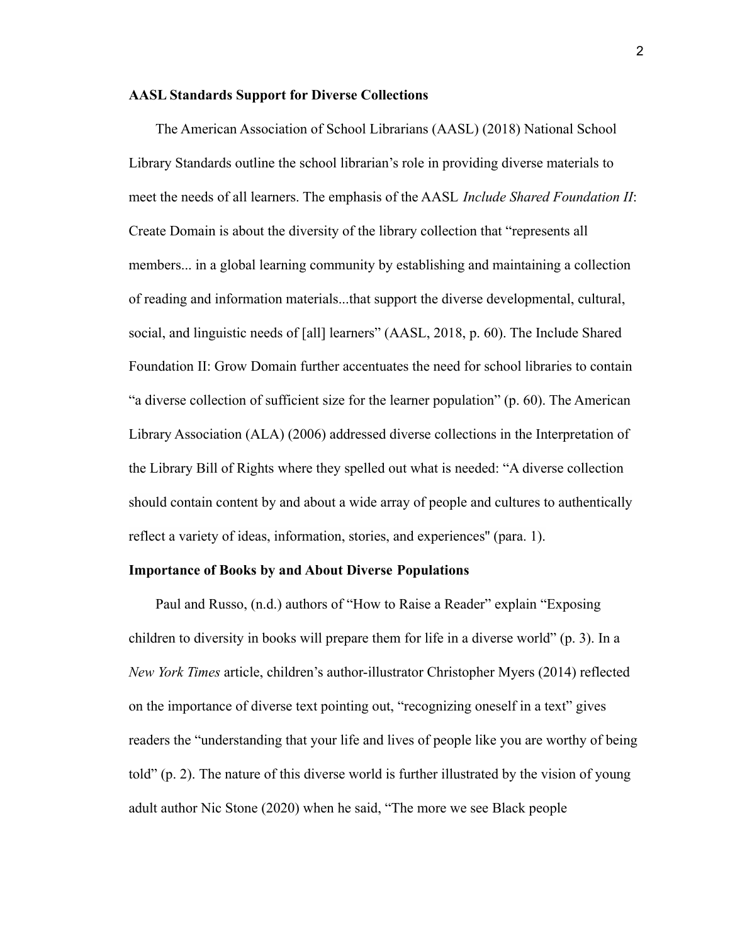#### **AASL Standards Support for Diverse Collections**

The American Association of School Librarians (AASL) (2018) National School Library Standards outline the school librarian's role in providing diverse materials to meet the needs of all learners. The emphasis of the AASL *Include Shared Foundation II*: Create Domain is about the diversity of the library collection that "represents all members... in a global learning community by establishing and maintaining a collection of reading and information materials...that support the diverse developmental, cultural, social, and linguistic needs of [all] learners" (AASL, 2018, p. 60). The Include Shared Foundation II: Grow Domain further accentuates the need for school libraries to contain "a diverse collection of sufficient size for the learner population" (p. 60). The American Library Association (ALA) (2006) addressed diverse collections in the Interpretation of the Library Bill of Rights where they spelled out what is needed: "A diverse collection should contain content by and about a wide array of people and cultures to authentically reflect a variety of ideas, information, stories, and experiences'' (para. 1).

#### **Importance of Books by and About Diverse Populations**

Paul and Russo, (n.d.) authors of "How to Raise a Reader" explain "Exposing children to diversity in books will prepare them for life in a diverse world" (p. 3). In a *New York Times* article, children's author-illustrator Christopher Myers (2014) reflected on the importance of diverse text pointing out, "recognizing oneself in a text" gives readers the "understanding that your life and lives of people like you are worthy of being told" (p. 2). The nature of this diverse world is further illustrated by the vision of young adult author Nic Stone (2020) when he said, "The more we see Black people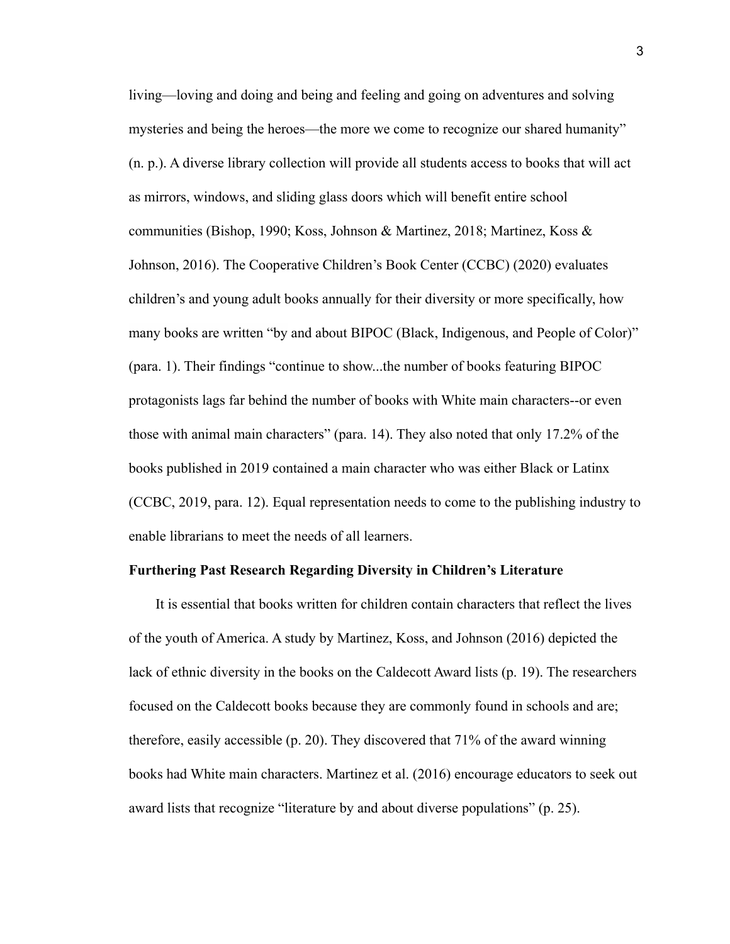living—loving and doing and being and feeling and going on adventures and solving mysteries and being the heroes—the more we come to recognize our shared humanity" (n. p.). A diverse library collection will provide all students access to books that will act as mirrors, windows, and sliding glass doors which will benefit entire school communities (Bishop, 1990; Koss, Johnson & Martinez, 2018; Martinez, Koss & Johnson, 2016). The Cooperative Children's Book Center (CCBC) (2020) evaluates children's and young adult books annually for their diversity or more specifically, how many books are written "by and about BIPOC (Black, Indigenous, and People of Color)" (para. 1). Their findings "continue to show...the number of books featuring BIPOC protagonists lags far behind the number of books with White main characters--or even those with animal main characters" (para. 14). They also noted that only 17.2% of the books published in 2019 contained a main character who was either Black or Latinx (CCBC, 2019, para. 12). Equal representation needs to come to the publishing industry to enable librarians to meet the needs of all learners.

### **Furthering Past Research Regarding Diversity in Children's Literature**

It is essential that books written for children contain characters that reflect the lives of the youth of America. A study by Martinez, Koss, and Johnson (2016) depicted the lack of ethnic diversity in the books on the Caldecott Award lists (p. 19). The researchers focused on the Caldecott books because they are commonly found in schools and are; therefore, easily accessible (p. 20). They discovered that 71% of the award winning books had White main characters. Martinez et al. (2016) encourage educators to seek out award lists that recognize "literature by and about diverse populations" (p. 25).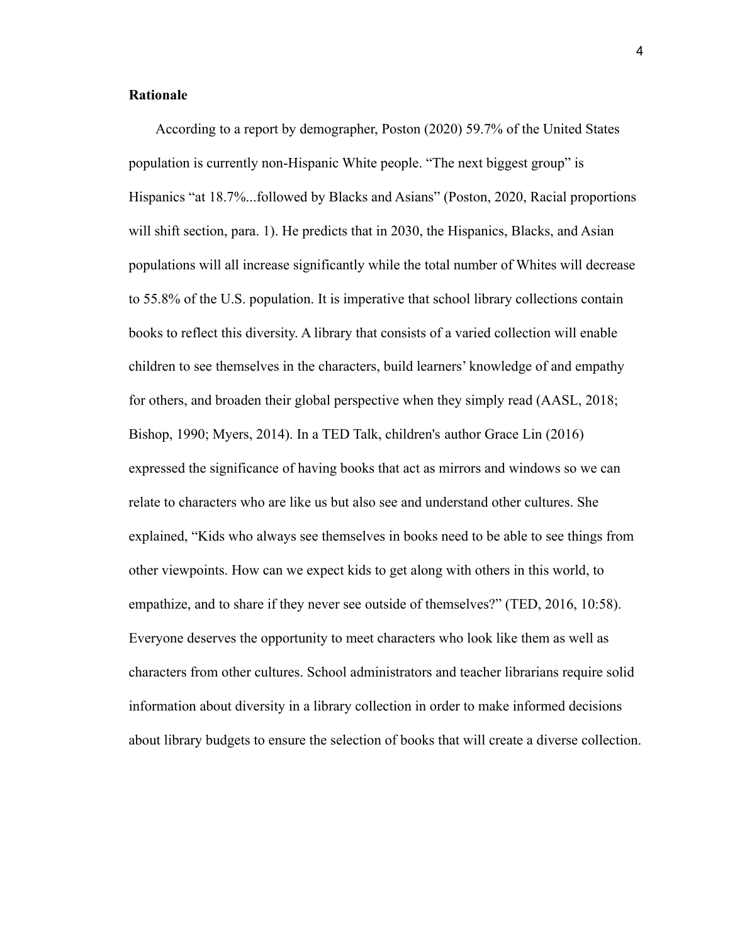#### **Rationale**

According to a report by demographer, Poston (2020) 59.7% of the United States population is currently non-Hispanic White people. "The next biggest group" is Hispanics "at 18.7%...followed by Blacks and Asians" (Poston, 2020, Racial proportions will shift section, para. 1). He predicts that in 2030, the Hispanics, Blacks, and Asian populations will all increase significantly while the total number of Whites will decrease to 55.8% of the U.S. population. It is imperative that school library collections contain books to reflect this diversity. A library that consists of a varied collection will enable children to see themselves in the characters, build learners' knowledge of and empathy for others, and broaden their global perspective when they simply read (AASL, 2018; Bishop, 1990; Myers, 2014). In a TED Talk, children's author Grace Lin (2016) expressed the significance of having books that act as mirrors and windows so we can relate to characters who are like us but also see and understand other cultures. She explained, "Kids who always see themselves in books need to be able to see things from other viewpoints. How can we expect kids to get along with others in this world, to empathize, and to share if they never see outside of themselves?" (TED, 2016, 10:58). Everyone deserves the opportunity to meet characters who look like them as well as characters from other cultures. School administrators and teacher librarians require solid information about diversity in a library collection in order to make informed decisions about library budgets to ensure the selection of books that will create a diverse collection.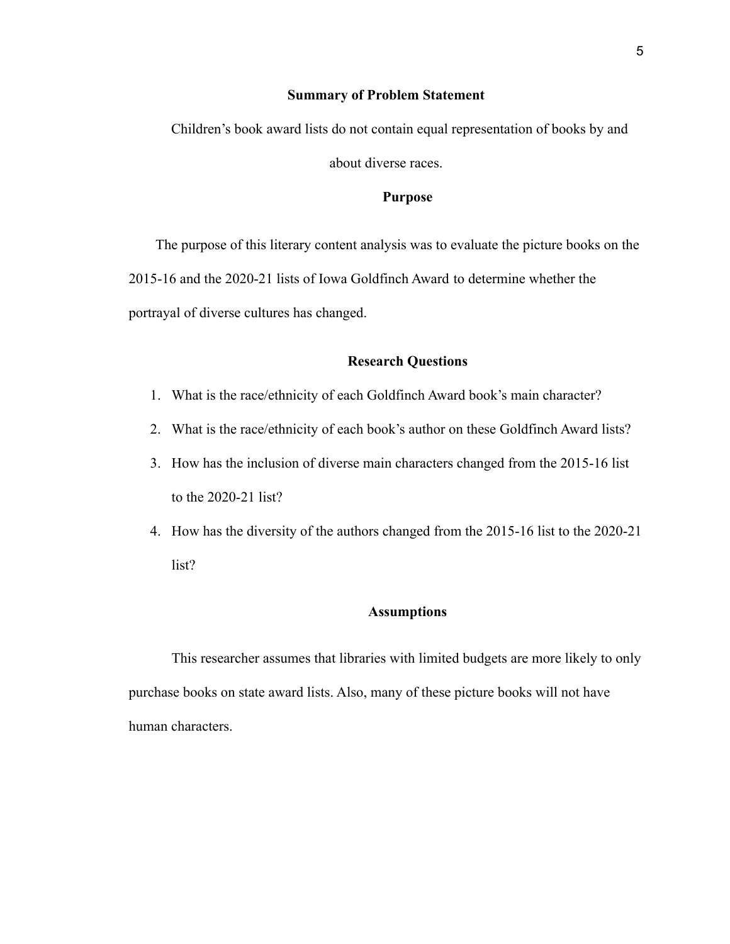#### **Summary of Problem Statement**

Children's book award lists do not contain equal representation of books by and about diverse races.

### **Purpose**

The purpose of this literary content analysis was to evaluate the picture books on the 2015-16 and the 2020-21 lists of Iowa Goldfinch Award to determine whether the portrayal of diverse cultures has changed.

## **Research Questions**

- 1. What is the race/ethnicity of each Goldfinch Award book's main character?
- 2. What is the race/ethnicity of each book's author on these Goldfinch Award lists?
- 3. How has the inclusion of diverse main characters changed from the 2015-16 list to the 2020-21 list?
- 4. How has the diversity of the authors changed from the 2015-16 list to the 2020-21 list?

## **Assumptions**

This researcher assumes that libraries with limited budgets are more likely to only purchase books on state award lists. Also, many of these picture books will not have human characters.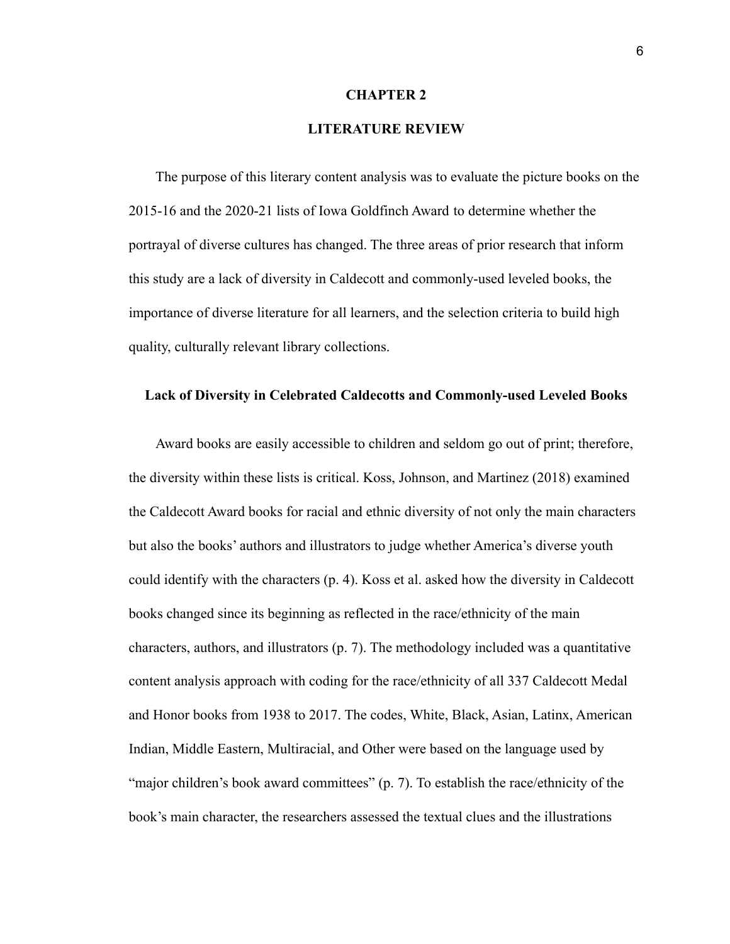#### **CHAPTER 2**

## **LITERATURE REVIEW**

The purpose of this literary content analysis was to evaluate the picture books on the 2015-16 and the 2020-21 lists of Iowa Goldfinch Award to determine whether the portrayal of diverse cultures has changed. The three areas of prior research that inform this study are a lack of diversity in Caldecott and commonly-used leveled books, the importance of diverse literature for all learners, and the selection criteria to build high quality, culturally relevant library collections.

#### **Lack of Diversity in Celebrated Caldecotts and Commonly-used Leveled Books**

Award books are easily accessible to children and seldom go out of print; therefore, the diversity within these lists is critical. Koss, Johnson, and Martinez (2018) examined the Caldecott Award books for racial and ethnic diversity of not only the main characters but also the books' authors and illustrators to judge whether America's diverse youth could identify with the characters (p. 4). Koss et al. asked how the diversity in Caldecott books changed since its beginning as reflected in the race/ethnicity of the main characters, authors, and illustrators (p. 7). The methodology included was a quantitative content analysis approach with coding for the race/ethnicity of all 337 Caldecott Medal and Honor books from 1938 to 2017. The codes, White, Black, Asian, Latinx, American Indian, Middle Eastern, Multiracial, and Other were based on the language used by "major children's book award committees" (p. 7). To establish the race/ethnicity of the book's main character, the researchers assessed the textual clues and the illustrations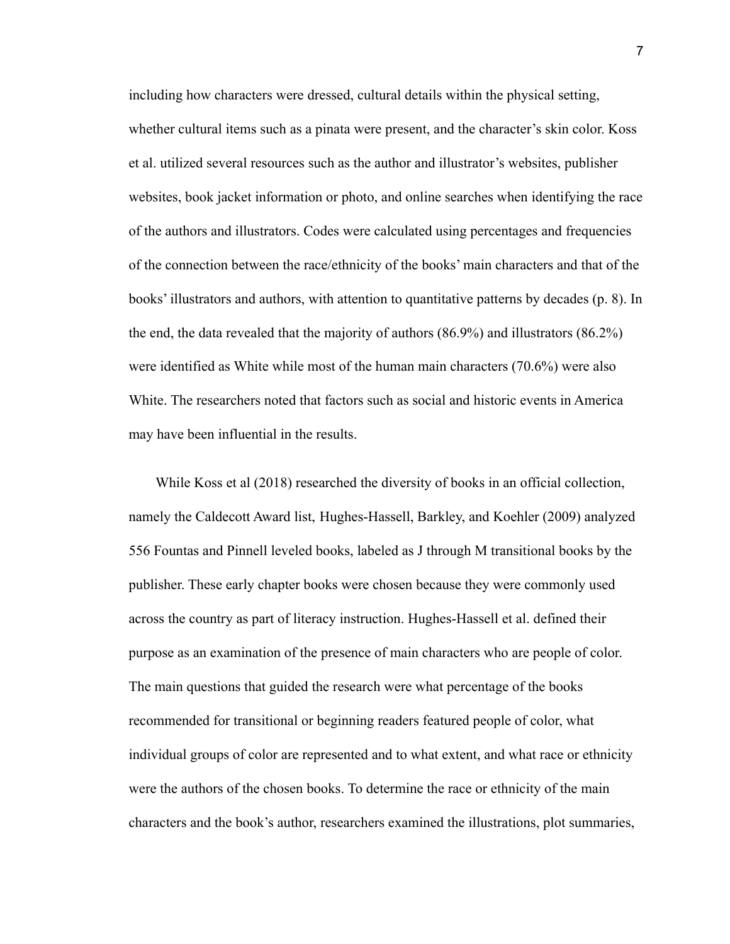including how characters were dressed, cultural details within the physical setting, whether cultural items such as a pinata were present, and the character's skin color. Koss et al. utilized several resources such as the author and illustrator's websites, publisher websites, book jacket information or photo, and online searches when identifying the race of the authors and illustrators. Codes were calculated using percentages and frequencies of the connection between the race/ethnicity of the books' main characters and that of the books' illustrators and authors, with attention to quantitative patterns by decades (p. 8). In the end, the data revealed that the majority of authors (86.9%) and illustrators (86.2%) were identified as White while most of the human main characters (70.6%) were also White. The researchers noted that factors such as social and historic events in America may have been influential in the results.

While Koss et al (2018) researched the diversity of books in an official collection, namely the Caldecott Award list, Hughes-Hassell, Barkley, and Koehler (2009) analyzed 556 Fountas and Pinnell leveled books, labeled as J through M transitional books by the publisher. These early chapter books were chosen because they were commonly used across the country as part of literacy instruction. Hughes-Hassell et al. defined their purpose as an examination of the presence of main characters who are people of color. The main questions that guided the research were what percentage of the books recommended for transitional or beginning readers featured people of color, what individual groups of color are represented and to what extent, and what race or ethnicity were the authors of the chosen books. To determine the race or ethnicity of the main characters and the book's author, researchers examined the illustrations, plot summaries,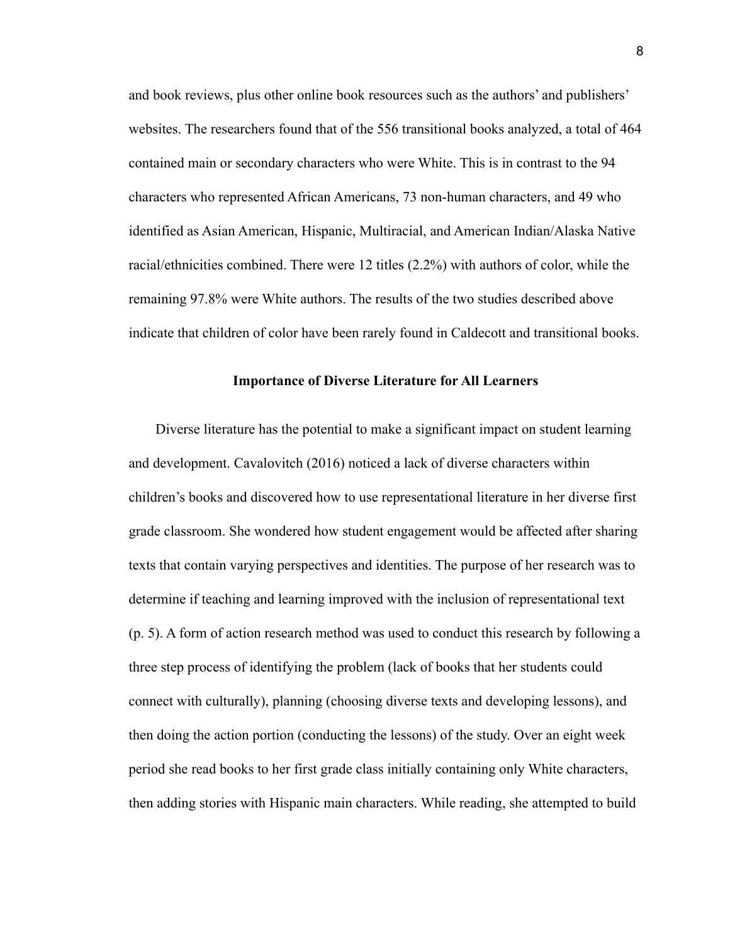and book reviews, plus other online book resources such as the authors' and publishers' websites. The researchers found that of the 556 transitional books analyzed, a total of 464 contained main or secondary characters who were White. This is in contrast to the 94 characters who represented African Americans, 73 non-human characters, and 49 who identified as Asian American, Hispanic, Multiracial, and American Indian/Alaska Native racial/ethnicities combined. There were 12 titles (2.2%) with authors of color, while the remaining 97.8% were White authors. The results of the two studies described above indicate that children of color have been rarely found in Caldecott and transitional books.

#### **Importance of Diverse Literature for All Learners**

Diverse literature has the potential to make a significant impact on student learning and development. Cavalovitch (2016) noticed a lack of diverse characters within children's books and discovered how to use representational literature in her diverse first grade classroom. She wondered how student engagement would be affected after sharing texts that contain varying perspectives and identities. The purpose of her research was to determine if teaching and learning improved with the inclusion of representational text (p. 5). A form of action research method was used to conduct this research by following a three step process of identifying the problem (lack of books that her students could connect with culturally), planning (choosing diverse texts and developing lessons), and then doing the action portion (conducting the lessons) of the study. Over an eight week period she read books to her first grade class initially containing only White characters, then adding stories with Hispanic main characters. While reading, she attempted to build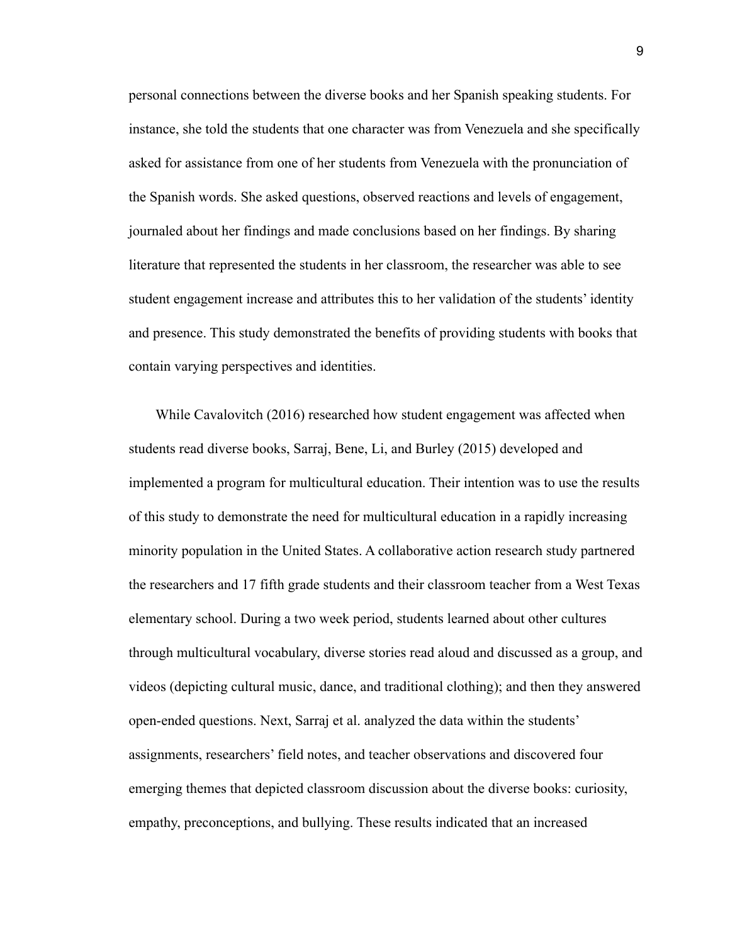personal connections between the diverse books and her Spanish speaking students. For instance, she told the students that one character was from Venezuela and she specifically asked for assistance from one of her students from Venezuela with the pronunciation of the Spanish words. She asked questions, observed reactions and levels of engagement, journaled about her findings and made conclusions based on her findings. By sharing literature that represented the students in her classroom, the researcher was able to see student engagement increase and attributes this to her validation of the students' identity and presence. This study demonstrated the benefits of providing students with books that contain varying perspectives and identities.

While Cavalovitch (2016) researched how student engagement was affected when students read diverse books, Sarraj, Bene, Li, and Burley (2015) developed and implemented a program for multicultural education. Their intention was to use the results of this study to demonstrate the need for multicultural education in a rapidly increasing minority population in the United States. A collaborative action research study partnered the researchers and 17 fifth grade students and their classroom teacher from a West Texas elementary school. During a two week period, students learned about other cultures through multicultural vocabulary, diverse stories read aloud and discussed as a group, and videos (depicting cultural music, dance, and traditional clothing); and then they answered open-ended questions. Next, Sarraj et al. analyzed the data within the students' assignments, researchers' field notes, and teacher observations and discovered four emerging themes that depicted classroom discussion about the diverse books: curiosity, empathy, preconceptions, and bullying. These results indicated that an increased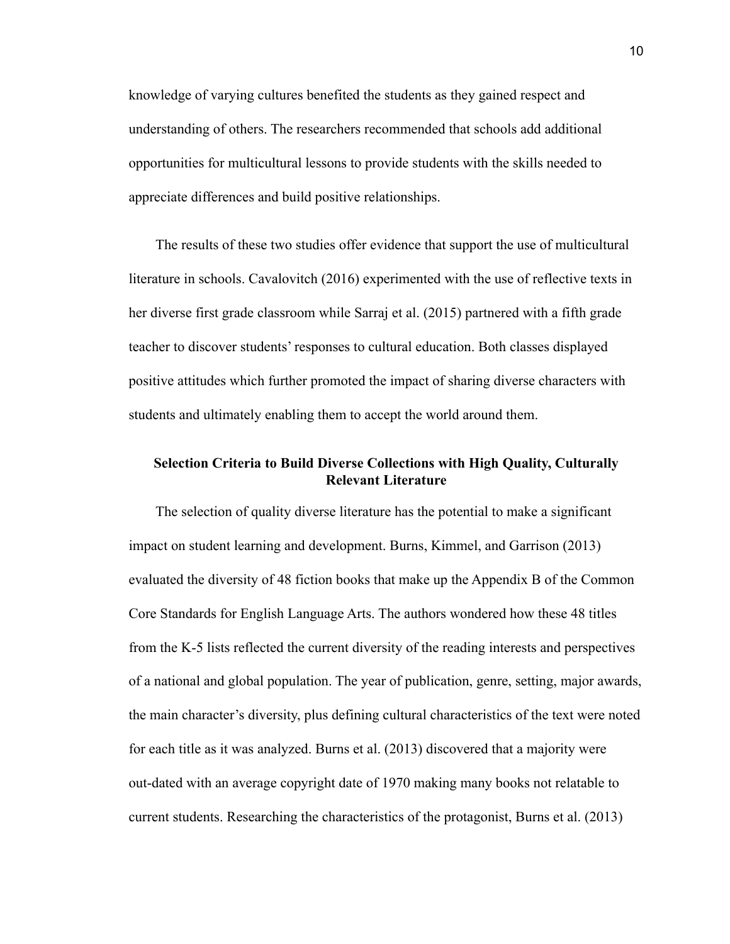knowledge of varying cultures benefited the students as they gained respect and understanding of others. The researchers recommended that schools add additional opportunities for multicultural lessons to provide students with the skills needed to appreciate differences and build positive relationships.

The results of these two studies offer evidence that support the use of multicultural literature in schools. Cavalovitch (2016) experimented with the use of reflective texts in her diverse first grade classroom while Sarraj et al. (2015) partnered with a fifth grade teacher to discover students' responses to cultural education. Both classes displayed positive attitudes which further promoted the impact of sharing diverse characters with students and ultimately enabling them to accept the world around them.

## **Selection Criteria to Build Diverse Collections with High Quality, Culturally Relevant Literature**

The selection of quality diverse literature has the potential to make a significant impact on student learning and development. Burns, Kimmel, and Garrison (2013) evaluated the diversity of 48 fiction books that make up the Appendix B of the Common Core Standards for English Language Arts. The authors wondered how these 48 titles from the K-5 lists reflected the current diversity of the reading interests and perspectives of a national and global population. The year of publication, genre, setting, major awards, the main character's diversity, plus defining cultural characteristics of the text were noted for each title as it was analyzed. Burns et al. (2013) discovered that a majority were out-dated with an average copyright date of 1970 making many books not relatable to current students. Researching the characteristics of the protagonist, Burns et al. (2013)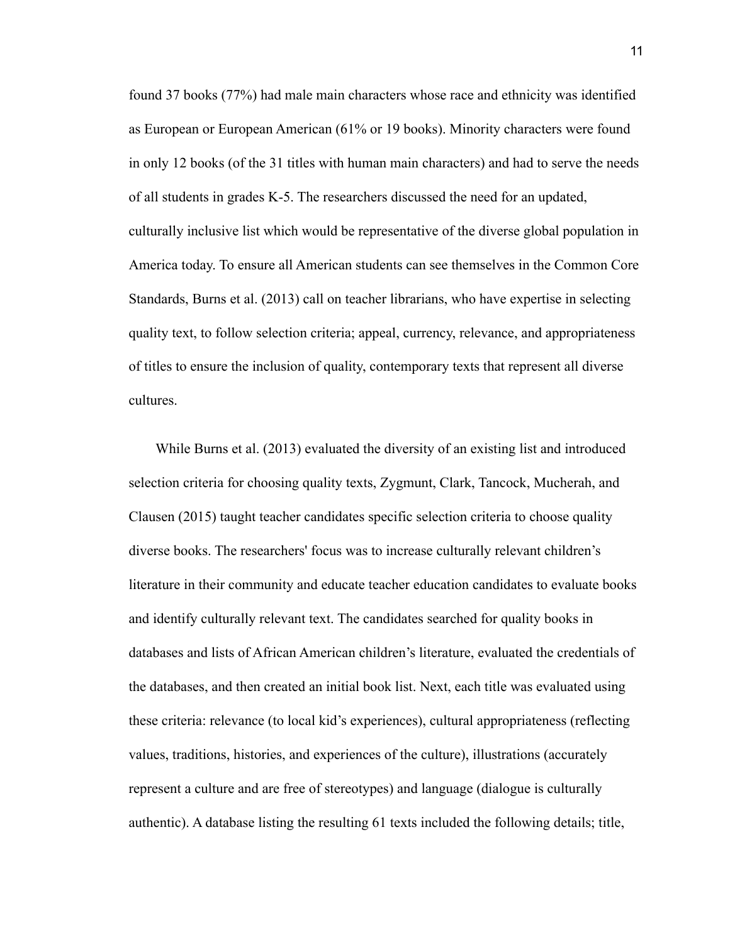found 37 books (77%) had male main characters whose race and ethnicity was identified as European or European American (61% or 19 books). Minority characters were found in only 12 books (of the 31 titles with human main characters) and had to serve the needs of all students in grades K-5. The researchers discussed the need for an updated, culturally inclusive list which would be representative of the diverse global population in America today. To ensure all American students can see themselves in the Common Core Standards, Burns et al. (2013) call on teacher librarians, who have expertise in selecting quality text, to follow selection criteria; appeal, currency, relevance, and appropriateness of titles to ensure the inclusion of quality, contemporary texts that represent all diverse cultures.

While Burns et al. (2013) evaluated the diversity of an existing list and introduced selection criteria for choosing quality texts, Zygmunt, Clark, Tancock, Mucherah, and Clausen (2015) taught teacher candidates specific selection criteria to choose quality diverse books. The researchers' focus was to increase culturally relevant children's literature in their community and educate teacher education candidates to evaluate books and identify culturally relevant text. The candidates searched for quality books in databases and lists of African American children's literature, evaluated the credentials of the databases, and then created an initial book list. Next, each title was evaluated using these criteria: relevance (to local kid's experiences), cultural appropriateness (reflecting values, traditions, histories, and experiences of the culture), illustrations (accurately represent a culture and are free of stereotypes) and language (dialogue is culturally authentic). A database listing the resulting 61 texts included the following details; title,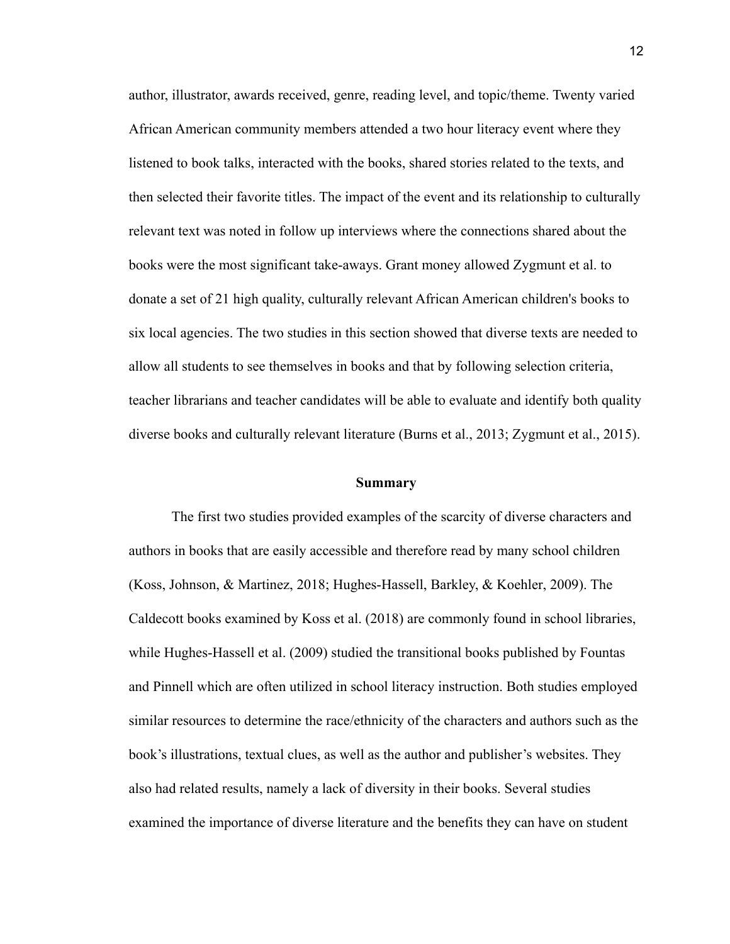author, illustrator, awards received, genre, reading level, and topic/theme. Twenty varied African American community members attended a two hour literacy event where they listened to book talks, interacted with the books, shared stories related to the texts, and then selected their favorite titles. The impact of the event and its relationship to culturally relevant text was noted in follow up interviews where the connections shared about the books were the most significant take-aways. Grant money allowed Zygmunt et al. to donate a set of 21 high quality, culturally relevant African American children's books to six local agencies. The two studies in this section showed that diverse texts are needed to allow all students to see themselves in books and that by following selection criteria, teacher librarians and teacher candidates will be able to evaluate and identify both quality diverse books and culturally relevant literature (Burns et al., 2013; Zygmunt et al., 2015).

#### **Summary**

The first two studies provided examples of the scarcity of diverse characters and authors in books that are easily accessible and therefore read by many school children (Koss, Johnson, & Martinez, 2018; Hughes-Hassell, Barkley, & Koehler, 2009). The Caldecott books examined by Koss et al. (2018) are commonly found in school libraries, while Hughes-Hassell et al. (2009) studied the transitional books published by Fountas and Pinnell which are often utilized in school literacy instruction. Both studies employed similar resources to determine the race/ethnicity of the characters and authors such as the book's illustrations, textual clues, as well as the author and publisher's websites. They also had related results, namely a lack of diversity in their books. Several studies examined the importance of diverse literature and the benefits they can have on student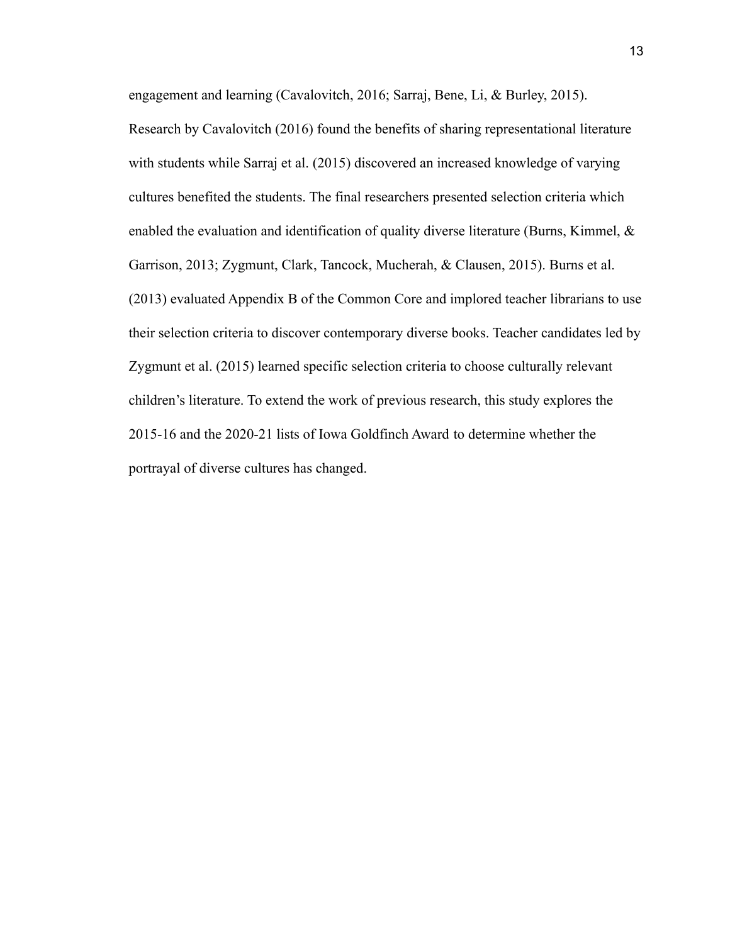engagement and learning (Cavalovitch, 2016; Sarraj, Bene, Li, & Burley, 2015). Research by Cavalovitch (2016) found the benefits of sharing representational literature with students while Sarraj et al. (2015) discovered an increased knowledge of varying cultures benefited the students. The final researchers presented selection criteria which enabled the evaluation and identification of quality diverse literature (Burns, Kimmel, & Garrison, 2013; Zygmunt, Clark, Tancock, Mucherah, & Clausen, 2015). Burns et al. (2013) evaluated Appendix B of the Common Core and implored teacher librarians to use their selection criteria to discover contemporary diverse books. Teacher candidates led by Zygmunt et al. (2015) learned specific selection criteria to choose culturally relevant children's literature. To extend the work of previous research, this study explores the 2015-16 and the 2020-21 lists of Iowa Goldfinch Award to determine whether the portrayal of diverse cultures has changed.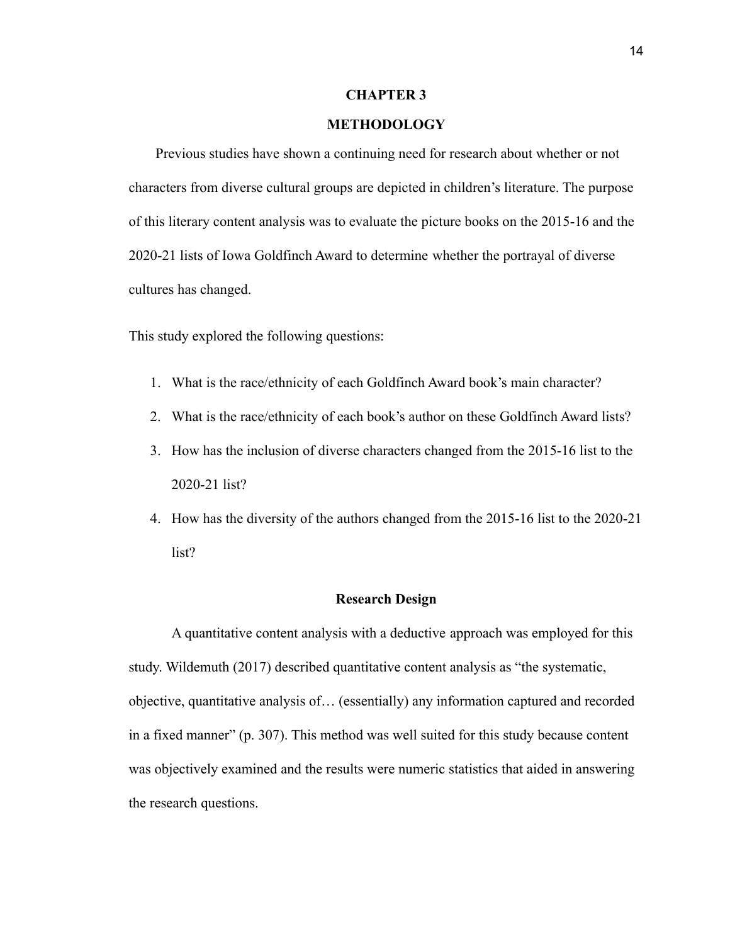### **CHAPTER 3**

#### **METHODOLOGY**

Previous studies have shown a continuing need for research about whether or not characters from diverse cultural groups are depicted in children's literature. The purpose of this literary content analysis was to evaluate the picture books on the 2015-16 and the 2020-21 lists of Iowa Goldfinch Award to determine whether the portrayal of diverse cultures has changed.

This study explored the following questions:

- 1. What is the race/ethnicity of each Goldfinch Award book's main character?
- 2. What is the race/ethnicity of each book's author on these Goldfinch Award lists?
- 3. How has the inclusion of diverse characters changed from the 2015-16 list to the 2020-21 list?
- 4. How has the diversity of the authors changed from the 2015-16 list to the 2020-21 list?

#### **Research Design**

A quantitative content analysis with a deductive approach was employed for this study. Wildemuth (2017) described quantitative content analysis as "the systematic, objective, quantitative analysis of… (essentially) any information captured and recorded in a fixed manner" (p. 307). This method was well suited for this study because content was objectively examined and the results were numeric statistics that aided in answering the research questions.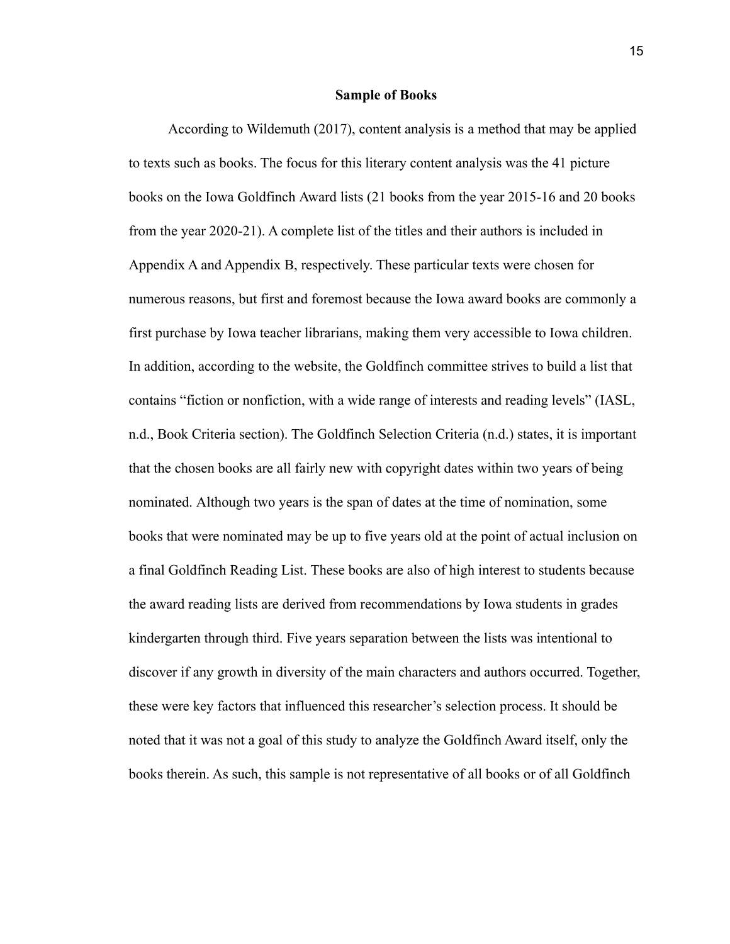#### **Sample of Books**

According to Wildemuth (2017), content analysis is a method that may be applied to texts such as books. The focus for this literary content analysis was the 41 picture books on the Iowa Goldfinch Award lists (21 books from the year 2015-16 and 20 books from the year 2020-21). A complete list of the titles and their authors is included in Appendix A and Appendix B, respectively. These particular texts were chosen for numerous reasons, but first and foremost because the Iowa award books are commonly a first purchase by Iowa teacher librarians, making them very accessible to Iowa children. In addition, according to the website, the Goldfinch committee strives to build a list that contains "fiction or nonfiction, with a wide range of interests and reading levels" (IASL, n.d., Book Criteria section). The Goldfinch Selection Criteria (n.d.) states, it is important that the chosen books are all fairly new with copyright dates within two years of being nominated. Although two years is the span of dates at the time of nomination, some books that were nominated may be up to five years old at the point of actual inclusion on a final Goldfinch Reading List. These books are also of high interest to students because the award reading lists are derived from recommendations by Iowa students in grades kindergarten through third. Five years separation between the lists was intentional to discover if any growth in diversity of the main characters and authors occurred. Together, these were key factors that influenced this researcher's selection process. It should be noted that it was not a goal of this study to analyze the Goldfinch Award itself, only the books therein. As such, this sample is not representative of all books or of all Goldfinch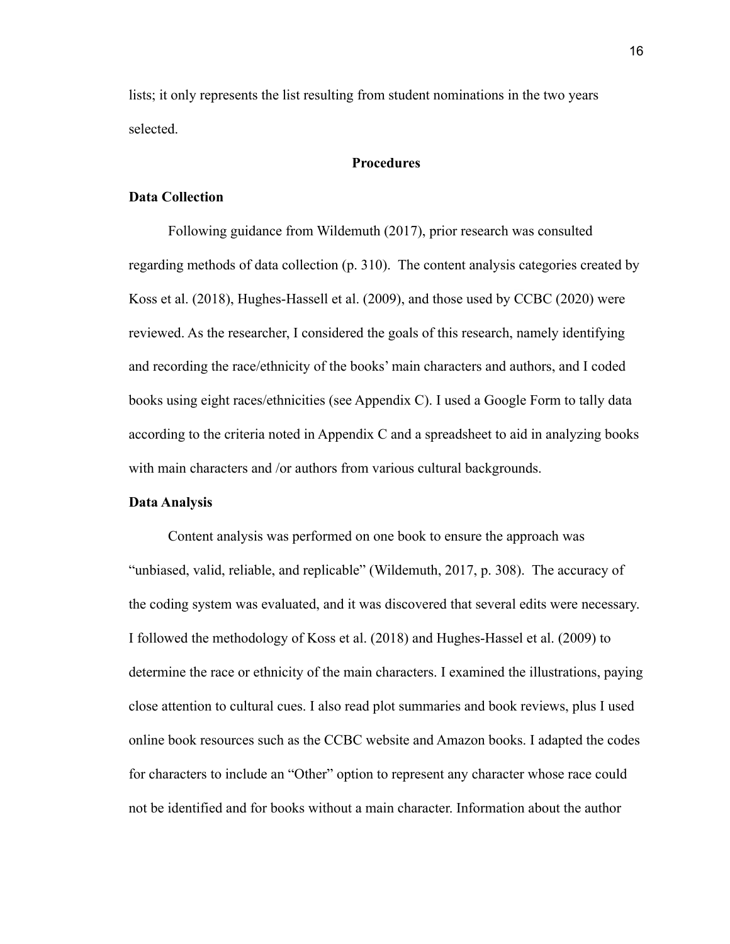lists; it only represents the list resulting from student nominations in the two years selected.

#### **Procedures**

## **Data Collection**

Following guidance from Wildemuth (2017), prior research was consulted regarding methods of data collection (p. 310). The content analysis categories created by Koss et al. (2018), Hughes-Hassell et al. (2009), and those used by CCBC (2020) were reviewed. As the researcher, I considered the goals of this research, namely identifying and recording the race/ethnicity of the books' main characters and authors, and I coded books using eight races/ethnicities (see Appendix C). I used a Google Form to tally data according to the criteria noted in Appendix C and a spreadsheet to aid in analyzing books with main characters and /or authors from various cultural backgrounds.

#### **Data Analysis**

Content analysis was performed on one book to ensure the approach was "unbiased, valid, reliable, and replicable" (Wildemuth, 2017, p. 308). The accuracy of the coding system was evaluated, and it was discovered that several edits were necessary. I followed the methodology of Koss et al. (2018) and Hughes-Hassel et al. (2009) to determine the race or ethnicity of the main characters. I examined the illustrations, paying close attention to cultural cues. I also read plot summaries and book reviews, plus I used online book resources such as the CCBC website and Amazon books. I adapted the codes for characters to include an "Other" option to represent any character whose race could not be identified and for books without a main character. Information about the author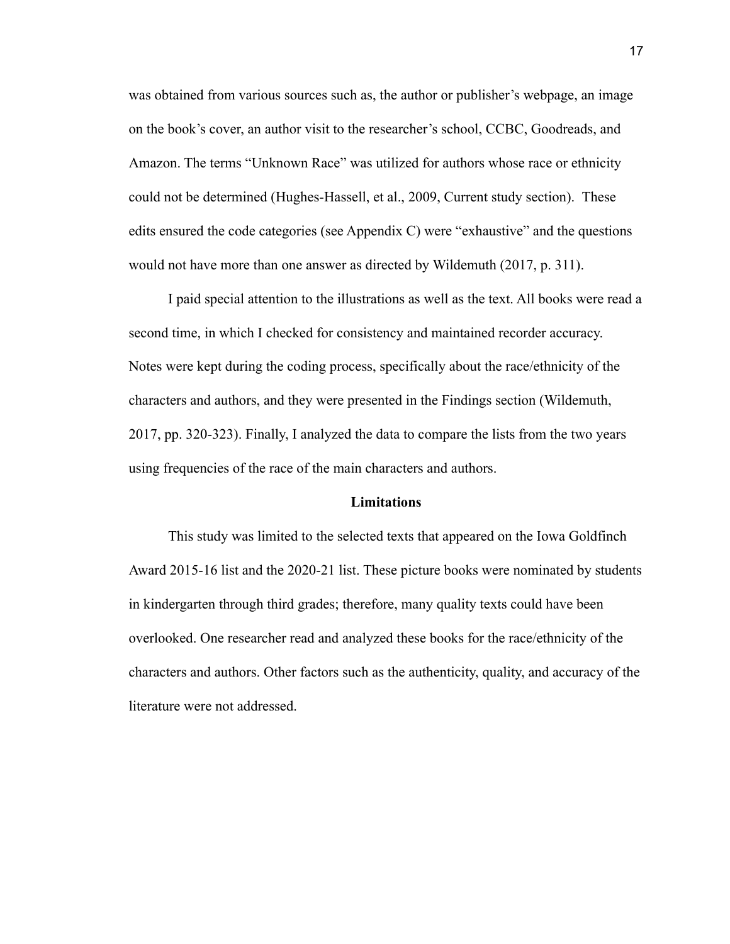was obtained from various sources such as, the author or publisher's webpage, an image on the book's cover, an author visit to the researcher's school, CCBC, Goodreads, and Amazon. The terms "Unknown Race" was utilized for authors whose race or ethnicity could not be determined (Hughes-Hassell, et al., 2009, Current study section). These edits ensured the code categories (see Appendix C) were "exhaustive" and the questions would not have more than one answer as directed by Wildemuth (2017, p. 311).

I paid special attention to the illustrations as well as the text. All books were read a second time, in which I checked for consistency and maintained recorder accuracy. Notes were kept during the coding process, specifically about the race/ethnicity of the characters and authors, and they were presented in the Findings section (Wildemuth, 2017, pp. 320-323). Finally, I analyzed the data to compare the lists from the two years using frequencies of the race of the main characters and authors.

#### **Limitations**

This study was limited to the selected texts that appeared on the Iowa Goldfinch Award 2015-16 list and the 2020-21 list. These picture books were nominated by students in kindergarten through third grades; therefore, many quality texts could have been overlooked. One researcher read and analyzed these books for the race/ethnicity of the characters and authors. Other factors such as the authenticity, quality, and accuracy of the literature were not addressed.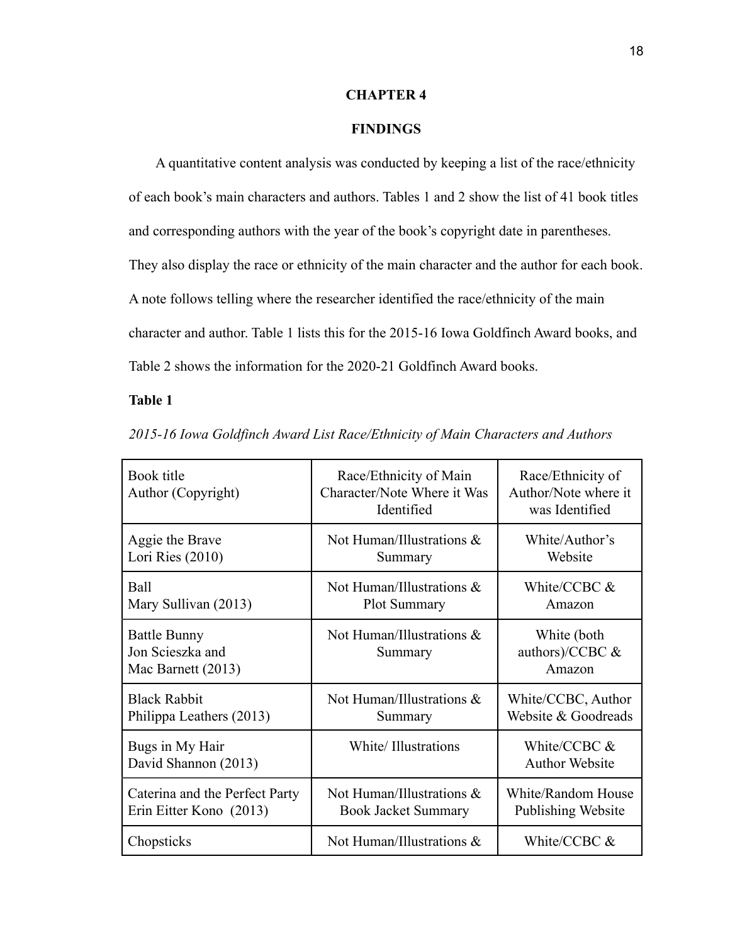### **CHAPTER 4**

## **FINDINGS**

A quantitative content analysis was conducted by keeping a list of the race/ethnicity of each book's main characters and authors. Tables 1 and 2 show the list of 41 book titles and corresponding authors with the year of the book's copyright date in parentheses. They also display the race or ethnicity of the main character and the author for each book. A note follows telling where the researcher identified the race/ethnicity of the main character and author. Table 1 lists this for the 2015-16 Iowa Goldfinch Award books, and Table 2 shows the information for the 2020-21 Goldfinch Award books.

## **Table 1**

| Book title<br>Author (Copyright)                              | Race/Ethnicity of Main<br>Character/Note Where it Was<br>Identified | Race/Ethnicity of<br>Author/Note where it<br>was Identified |
|---------------------------------------------------------------|---------------------------------------------------------------------|-------------------------------------------------------------|
| Aggie the Brave<br>Lori Ries $(2010)$                         | Not Human/Illustrations $\&$<br>Summary                             | White/Author's<br>Website                                   |
| Ball<br>Mary Sullivan (2013)                                  | Not Human/Illustrations $\&$<br><b>Plot Summary</b>                 | White/CCBC &<br>Amazon                                      |
| <b>Battle Bunny</b><br>Jon Scieszka and<br>Mac Barnett (2013) | Not Human/Illustrations &<br>Summary                                | White (both<br>authors)/CCBC $&$<br>Amazon                  |
| <b>Black Rabbit</b><br>Philippa Leathers (2013)               | Not Human/Illustrations $\&$<br>Summary                             | White/CCBC, Author<br>Website & Goodreads                   |
| Bugs in My Hair<br>David Shannon (2013)                       | White/Illustrations                                                 | White/CCBC &<br><b>Author Website</b>                       |
| Caterina and the Perfect Party<br>Erin Eitter Kono (2013)     | Not Human/Illustrations $\&$<br><b>Book Jacket Summary</b>          | White/Random House<br>Publishing Website                    |
| Chopsticks                                                    | Not Human/Illustrations $\&$                                        | White/CCBC &                                                |

*2015-16 Iowa Goldfinch Award List Race/Ethnicity of Main Characters and Authors*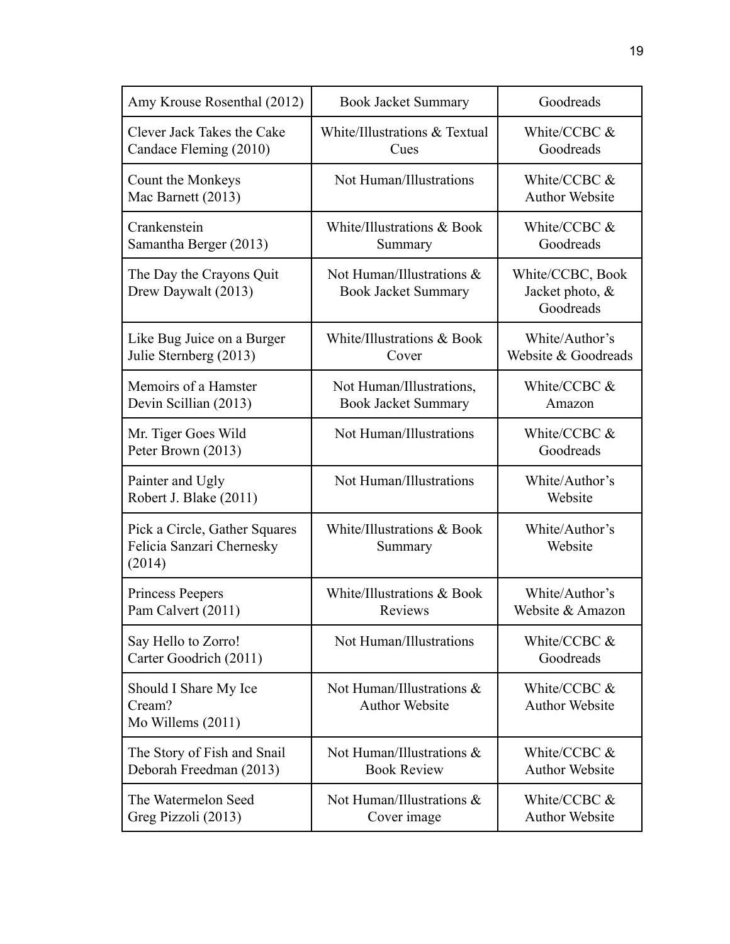| Amy Krouse Rosenthal (2012)                                          | <b>Book Jacket Summary</b>                                 | Goodreads                                           |
|----------------------------------------------------------------------|------------------------------------------------------------|-----------------------------------------------------|
| Clever Jack Takes the Cake<br>Candace Fleming (2010)                 | White/Illustrations & Textual<br>Cues                      | White/CCBC &<br>Goodreads                           |
| Count the Monkeys<br>Mac Barnett (2013)                              | Not Human/Illustrations                                    | White/CCBC &<br><b>Author Website</b>               |
| Crankenstein<br>Samantha Berger (2013)                               | White/Illustrations & Book<br>Summary                      | White/CCBC &<br>Goodreads                           |
| The Day the Crayons Quit<br>Drew Daywalt (2013)                      | Not Human/Illustrations $\&$<br><b>Book Jacket Summary</b> | White/CCBC, Book<br>Jacket photo, $\&$<br>Goodreads |
| Like Bug Juice on a Burger<br>Julie Sternberg (2013)                 | White/Illustrations & Book<br>Cover                        | White/Author's<br>Website & Goodreads               |
| Memoirs of a Hamster<br>Devin Scillian (2013)                        | Not Human/Illustrations,<br><b>Book Jacket Summary</b>     | White/CCBC &<br>Amazon                              |
| Mr. Tiger Goes Wild<br>Peter Brown (2013)                            | Not Human/Illustrations                                    | White/CCBC &<br>Goodreads                           |
| Painter and Ugly<br>Robert J. Blake (2011)                           | Not Human/Illustrations                                    | White/Author's<br>Website                           |
| Pick a Circle, Gather Squares<br>Felicia Sanzari Chernesky<br>(2014) | White/Illustrations & Book<br>Summary                      | White/Author's<br>Website                           |
| Princess Peepers<br>Pam Calvert (2011)                               | White/Illustrations & Book<br>Reviews                      | White/Author's<br>Website & Amazon                  |
| Say Hello to Zorro!<br>Carter Goodrich (2011)                        | Not Human/Illustrations                                    | White/CCBC &<br>Goodreads                           |
| Should I Share My Ice<br>Cream?<br>Mo Willems $(2011)$               | Not Human/Illustrations &<br><b>Author Website</b>         | White/CCBC &<br><b>Author Website</b>               |
| The Story of Fish and Snail<br>Deborah Freedman (2013)               | Not Human/Illustrations $\&$<br><b>Book Review</b>         | White/CCBC &<br><b>Author Website</b>               |
| The Watermelon Seed<br>Greg Pizzoli (2013)                           | Not Human/Illustrations &<br>Cover image                   | White/CCBC &<br><b>Author Website</b>               |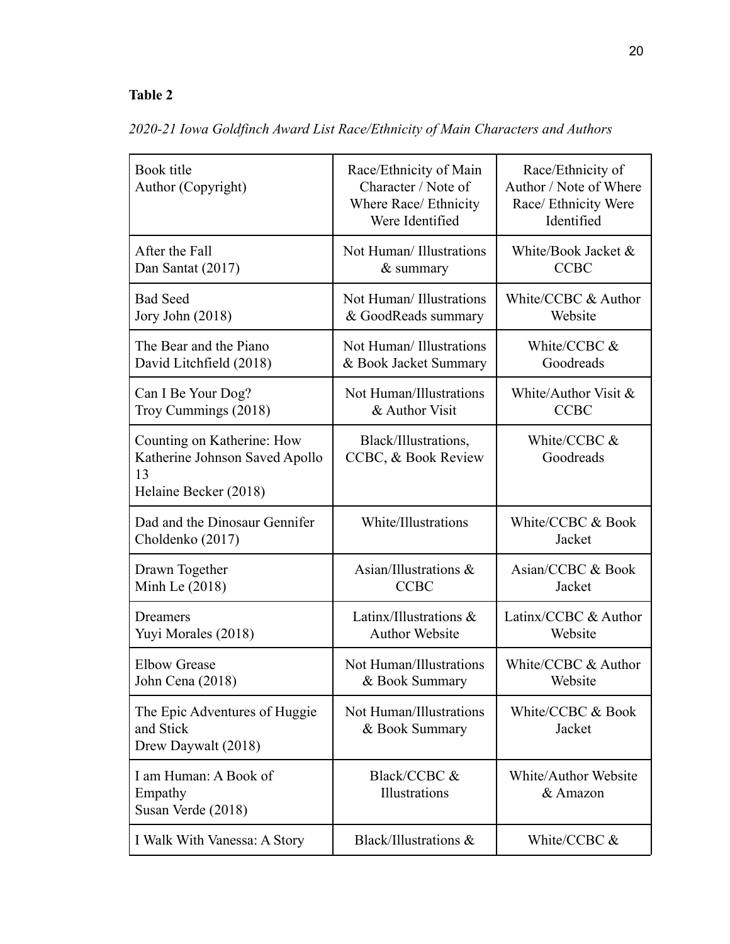# **Table 2**

*2020-21 Iowa Goldfinch Award List Race/Ethnicity of Main Characters and Authors*

| Book title<br>Author (Copyright)                                                            | Race/Ethnicity of Main<br>Character / Note of<br>Where Race/ Ethnicity<br>Were Identified | Race/Ethnicity of<br>Author / Note of Where<br>Race/ Ethnicity Were<br>Identified |
|---------------------------------------------------------------------------------------------|-------------------------------------------------------------------------------------------|-----------------------------------------------------------------------------------|
| After the Fall                                                                              | Not Human/Illustrations                                                                   | White/Book Jacket &                                                               |
| Dan Santat (2017)                                                                           | $&$ summary                                                                               | <b>CCBC</b>                                                                       |
| <b>Bad Seed</b>                                                                             | Not Human/Illustrations                                                                   | White/CCBC & Author                                                               |
| Jory John (2018)                                                                            | & GoodReads summary                                                                       | Website                                                                           |
| The Bear and the Piano                                                                      | Not Human/Illustrations                                                                   | White/CCBC &                                                                      |
| David Litchfield (2018)                                                                     | & Book Jacket Summary                                                                     | Goodreads                                                                         |
| Can I Be Your Dog?                                                                          | Not Human/Illustrations                                                                   | White/Author Visit &                                                              |
| Troy Cummings (2018)                                                                        | & Author Visit                                                                            | <b>CCBC</b>                                                                       |
| Counting on Katherine: How<br>Katherine Johnson Saved Apollo<br>13<br>Helaine Becker (2018) | Black/Illustrations,<br>CCBC, & Book Review                                               | White/CCBC &<br>Goodreads                                                         |
| Dad and the Dinosaur Gennifer<br>Choldenko (2017)                                           | White/Illustrations                                                                       | White/CCBC & Book<br>Jacket                                                       |
| Drawn Together                                                                              | Asian/Illustrations &                                                                     | Asian/CCBC & Book                                                                 |
| Minh Le (2018)                                                                              | <b>CCBC</b>                                                                               | Jacket                                                                            |
| Dreamers                                                                                    | Latinx/Illustrations $\&$                                                                 | Latinx/CCBC & Author                                                              |
| Yuyi Morales (2018)                                                                         | <b>Author Website</b>                                                                     | Website                                                                           |
| <b>Elbow Grease</b>                                                                         | Not Human/Illustrations                                                                   | White/CCBC & Author                                                               |
| John Cena (2018)                                                                            | & Book Summary                                                                            | Website                                                                           |
| The Epic Adventures of Huggie<br>and Stick<br>Drew Daywalt (2018)                           | Not Human/Illustrations<br>& Book Summary                                                 | White/CCBC & Book<br>Jacket                                                       |
| I am Human: A Book of<br>Empathy<br>Susan Verde (2018)                                      | Black/CCBC &<br>Illustrations                                                             | White/Author Website<br>& Amazon                                                  |
| I Walk With Vanessa: A Story                                                                | Black/Illustrations &                                                                     | White/CCBC &                                                                      |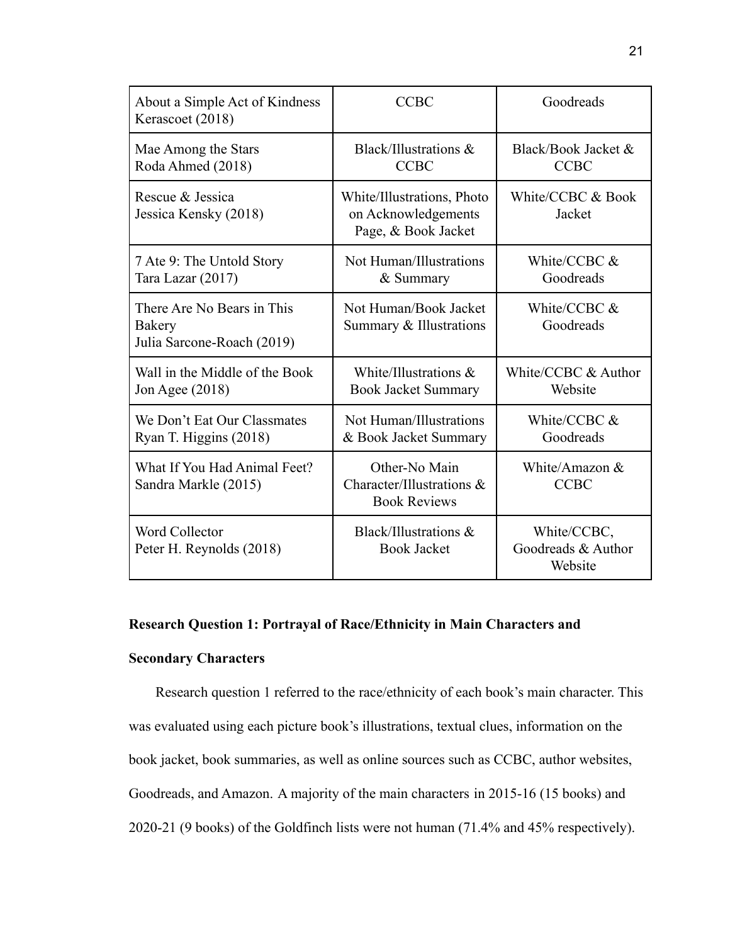| About a Simple Act of Kindness<br>Kerascoet (2018)                 | <b>CCBC</b>                                                              | Goodreads                                    |
|--------------------------------------------------------------------|--------------------------------------------------------------------------|----------------------------------------------|
| Mae Among the Stars<br>Roda Ahmed (2018)                           | Black/Illustrations &<br><b>CCBC</b>                                     | Black/Book Jacket &<br><b>CCBC</b>           |
| Rescue & Jessica<br>Jessica Kensky (2018)                          | White/Illustrations, Photo<br>on Acknowledgements<br>Page, & Book Jacket | White/CCBC & Book<br>Jacket                  |
| 7 Ate 9: The Untold Story<br>Tara Lazar (2017)                     | Not Human/Illustrations<br>& Summary                                     | White/CCBC &<br>Goodreads                    |
| There Are No Bears in This<br>Bakery<br>Julia Sarcone-Roach (2019) | Not Human/Book Jacket<br>Summary & Illustrations                         | White/CCBC &<br>Goodreads                    |
| Wall in the Middle of the Book<br>Jon Agee (2018)                  | White/Illustrations &<br><b>Book Jacket Summary</b>                      | White/CCBC & Author<br>Website               |
| We Don't Eat Our Classmates<br>Ryan T. Higgins (2018)              | Not Human/Illustrations<br>& Book Jacket Summary                         | White/CCBC &<br>Goodreads                    |
| What If You Had Animal Feet?<br>Sandra Markle (2015)               | Other-No Main<br>Character/Illustrations &<br><b>Book Reviews</b>        | White/Amazon $&$<br><b>CCBC</b>              |
| <b>Word Collector</b><br>Peter H. Reynolds (2018)                  | Black/Illustrations &<br><b>Book Jacket</b>                              | White/CCBC,<br>Goodreads & Author<br>Website |

## **Research Question 1: Portrayal of Race/Ethnicity in Main Characters and**

## **Secondary Characters**

Research question 1 referred to the race/ethnicity of each book's main character. This was evaluated using each picture book's illustrations, textual clues, information on the book jacket, book summaries, as well as online sources such as CCBC, author websites, Goodreads, and Amazon. A majority of the main characters in 2015-16 (15 books) and 2020-21 (9 books) of the Goldfinch lists were not human (71.4% and 45% respectively).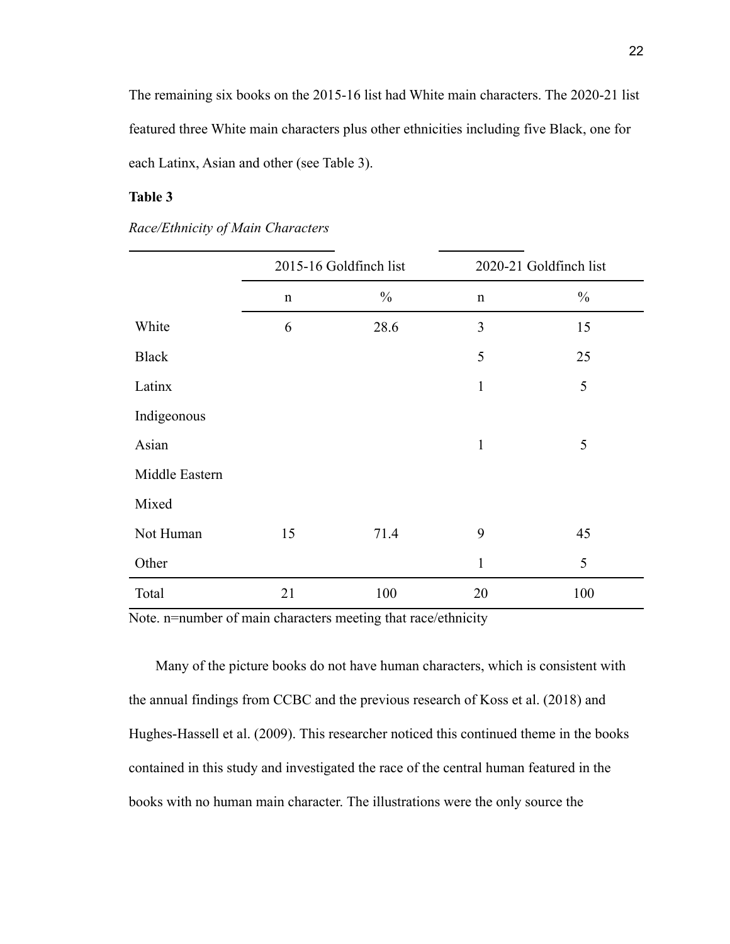The remaining six books on the 2015-16 list had White main characters. The 2020-21 list featured three White main characters plus other ethnicities including five Black, one for each Latinx, Asian and other (see Table 3).

## **Table 3**

|                | 2015-16 Goldfinch list |               |              |               |  | 2020-21 Goldfinch list |
|----------------|------------------------|---------------|--------------|---------------|--|------------------------|
|                | $\mathbf n$            | $\frac{0}{0}$ | $\mathbf n$  | $\frac{0}{0}$ |  |                        |
| White          | 6                      | 28.6          | 3            | 15            |  |                        |
| <b>Black</b>   |                        |               | 5            | 25            |  |                        |
| Latinx         |                        |               | $\mathbf{1}$ | 5             |  |                        |
| Indigeonous    |                        |               |              |               |  |                        |
| Asian          |                        |               | $\mathbf{1}$ | 5             |  |                        |
| Middle Eastern |                        |               |              |               |  |                        |
| Mixed          |                        |               |              |               |  |                        |
| Not Human      | 15                     | 71.4          | 9            | 45            |  |                        |
| Other          |                        |               | $\mathbf{1}$ | 5             |  |                        |
| Total          | 21                     | 100           | 20           | 100           |  |                        |

*Race/Ethnicity of Main Characters*

Note. n=number of main characters meeting that race/ethnicity

Many of the picture books do not have human characters, which is consistent with the annual findings from CCBC and the previous research of Koss et al. (2018) and Hughes-Hassell et al. (2009). This researcher noticed this continued theme in the books contained in this study and investigated the race of the central human featured in the books with no human main character. The illustrations were the only source the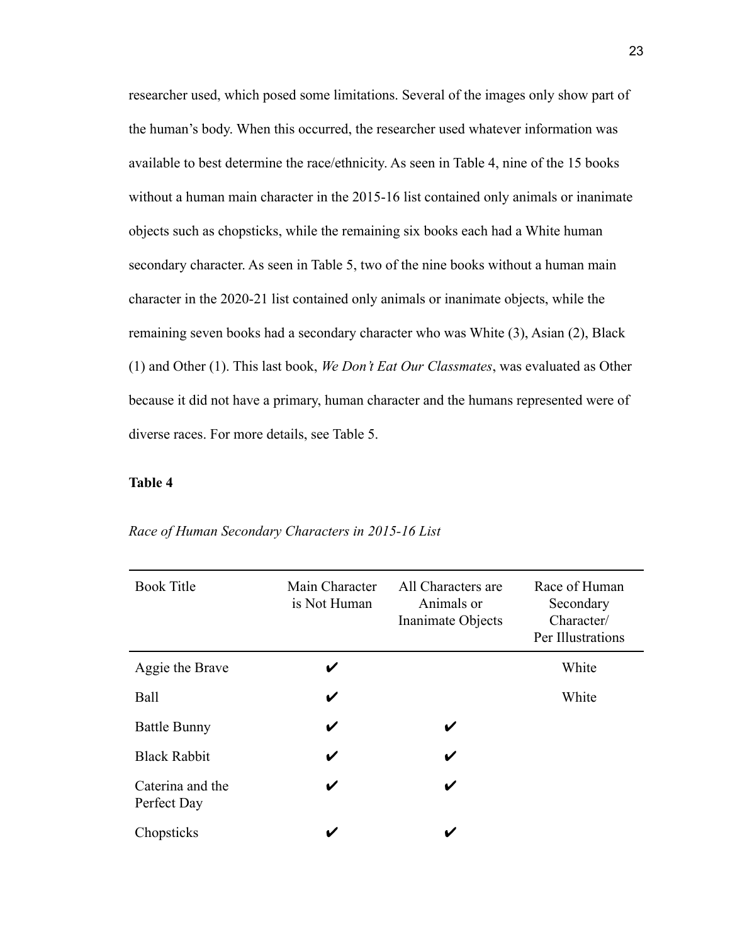researcher used, which posed some limitations. Several of the images only show part of the human's body. When this occurred, the researcher used whatever information was available to best determine the race/ethnicity. As seen in Table 4, nine of the 15 books without a human main character in the 2015-16 list contained only animals or inanimate objects such as chopsticks, while the remaining six books each had a White human secondary character. As seen in Table 5, two of the nine books without a human main character in the 2020-21 list contained only animals or inanimate objects, while the remaining seven books had a secondary character who was White (3), Asian (2), Black (1) and Other (1). This last book, *We Don't Eat Our Classmates*, was evaluated as Other because it did not have a primary, human character and the humans represented were of diverse races. For more details, see Table 5.

#### **Table 4**

| <b>Book Title</b>               | Main Character<br>is Not Human | All Characters are<br>Animals or<br>Inanimate Objects | Race of Human<br>Secondary<br>Character/<br>Per Illustrations |
|---------------------------------|--------------------------------|-------------------------------------------------------|---------------------------------------------------------------|
| Aggie the Brave                 | V                              |                                                       | White                                                         |
| <b>Ball</b>                     | V                              |                                                       | White                                                         |
| <b>Battle Bunny</b>             | V                              | V                                                     |                                                               |
| <b>Black Rabbit</b>             | V                              | V                                                     |                                                               |
| Caterina and the<br>Perfect Day | V                              | V                                                     |                                                               |
| Chopsticks                      |                                |                                                       |                                                               |

*Race of Human Secondary Characters in 2015-16 List*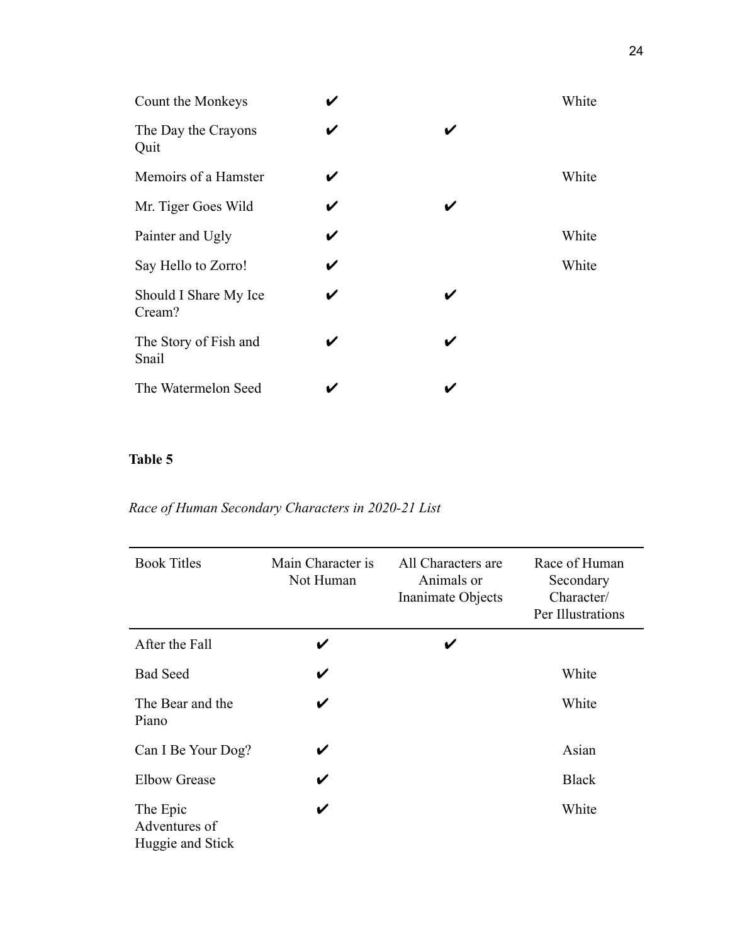| Count the Monkeys               |   |   | White |
|---------------------------------|---|---|-------|
| The Day the Crayons<br>Quit     | V | V |       |
| Memoirs of a Hamster            | V |   | White |
| Mr. Tiger Goes Wild             | V | V |       |
| Painter and Ugly                | V |   | White |
| Say Hello to Zorro!             | V |   | White |
| Should I Share My Ice<br>Cream? | V | V |       |
| The Story of Fish and<br>Snail  | ✔ | V |       |
| The Watermelon Seed             |   | V |       |

# **Table 5**

# *Race of Human Secondary Characters in 2020-21 List*

| <b>Book Titles</b>                            | Main Character is<br>Not Human | All Characters are<br>Animals or<br>Inanimate Objects | Race of Human<br>Secondary<br>Character/<br>Per Illustrations |
|-----------------------------------------------|--------------------------------|-------------------------------------------------------|---------------------------------------------------------------|
| After the Fall                                | V                              | V                                                     |                                                               |
| <b>Bad Seed</b>                               | V                              |                                                       | White                                                         |
| The Bear and the<br>Piano                     | V                              |                                                       | White                                                         |
| Can I Be Your Dog?                            | V                              |                                                       | Asian                                                         |
| <b>Elbow Grease</b>                           | V                              |                                                       | <b>Black</b>                                                  |
| The Epic<br>Adventures of<br>Huggie and Stick | V                              |                                                       | White                                                         |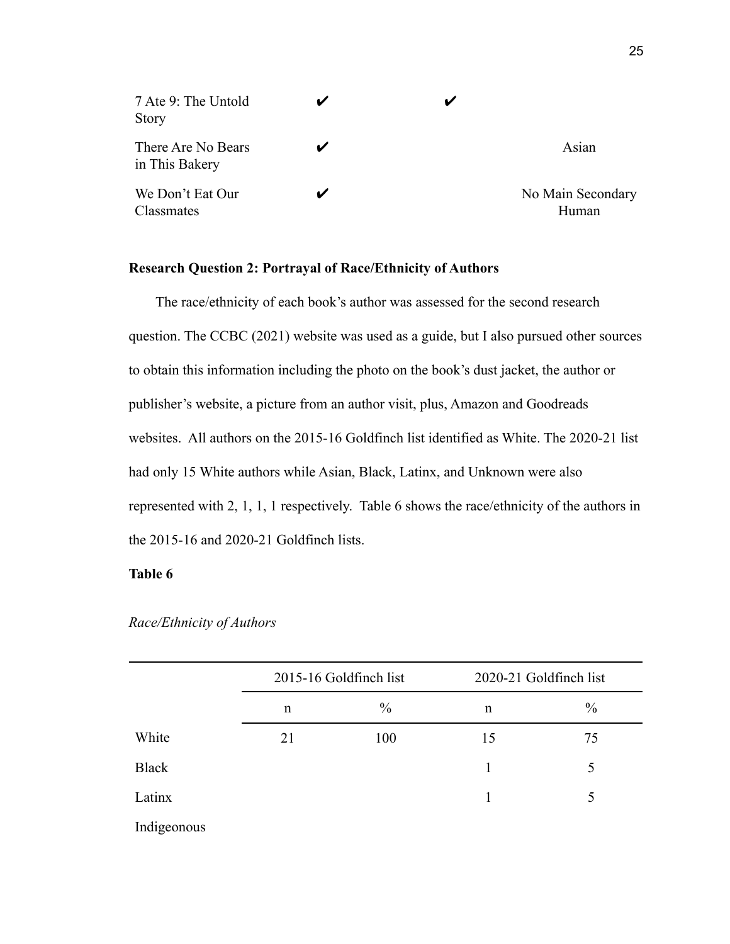| 7 Ate 9: The Untold<br><b>Story</b>  |  |                            |
|--------------------------------------|--|----------------------------|
| There Are No Bears<br>in This Bakery |  | Asian                      |
| We Don't Eat Our<br>Classmates       |  | No Main Secondary<br>Human |

#### **Research Question 2: Portrayal of Race/Ethnicity of Authors**

The race/ethnicity of each book's author was assessed for the second research question. The CCBC (2021) website was used as a guide, but I also pursued other sources to obtain this information including the photo on the book's dust jacket, the author or publisher's website, a picture from an author visit, plus, Amazon and Goodreads websites. All authors on the 2015-16 Goldfinch list identified as White. The 2020-21 list had only 15 White authors while Asian, Black, Latinx, and Unknown were also represented with 2, 1, 1, 1 respectively. Table 6 shows the race/ethnicity of the authors in the 2015-16 and 2020-21 Goldfinch lists.

## **Table 6**

|              | 2015-16 Goldfinch list |               | 2020-21 Goldfinch list |               |
|--------------|------------------------|---------------|------------------------|---------------|
|              | n                      | $\frac{0}{0}$ | n                      | $\frac{0}{0}$ |
| White        | 21                     | 100           | 15                     | 75            |
| <b>Black</b> |                        |               |                        | 5             |
| Latinx       |                        |               |                        | 5             |
| Indigeonous  |                        |               |                        |               |

*Race/Ethnicity of Authors*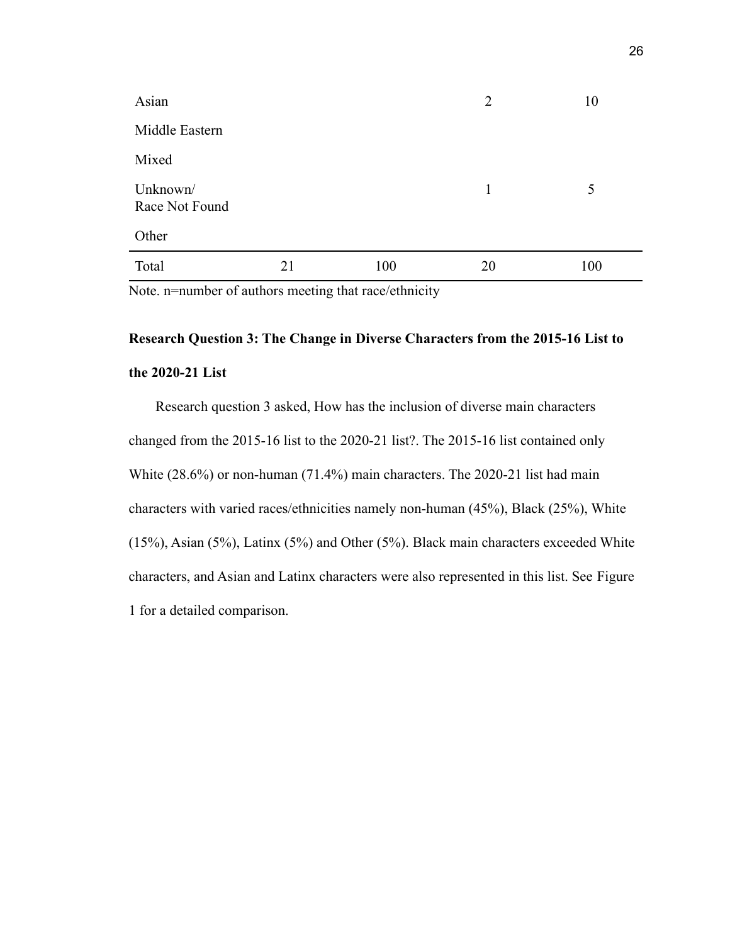| Asian                      |    |     | 2            | 10  |
|----------------------------|----|-----|--------------|-----|
| Middle Eastern             |    |     |              |     |
| Mixed                      |    |     |              |     |
| Unknown/<br>Race Not Found |    |     | $\mathbf{1}$ | 5   |
| Other                      |    |     |              |     |
| Total                      | 21 | 100 | 20           | 100 |

Note. n=number of authors meeting that race/ethnicity

# **Research Question 3: The Change in Diverse Characters from the 2015-16 List to the 2020-21 List**

Research question 3 asked, How has the inclusion of diverse main characters changed from the 2015-16 list to the 2020-21 list?. The 2015-16 list contained only White (28.6%) or non-human (71.4%) main characters. The 2020-21 list had main characters with varied races/ethnicities namely non-human (45%), Black (25%), White (15%), Asian (5%), Latinx (5%) and Other (5%). Black main characters exceeded White characters, and Asian and Latinx characters were also represented in this list. See Figure 1 for a detailed comparison.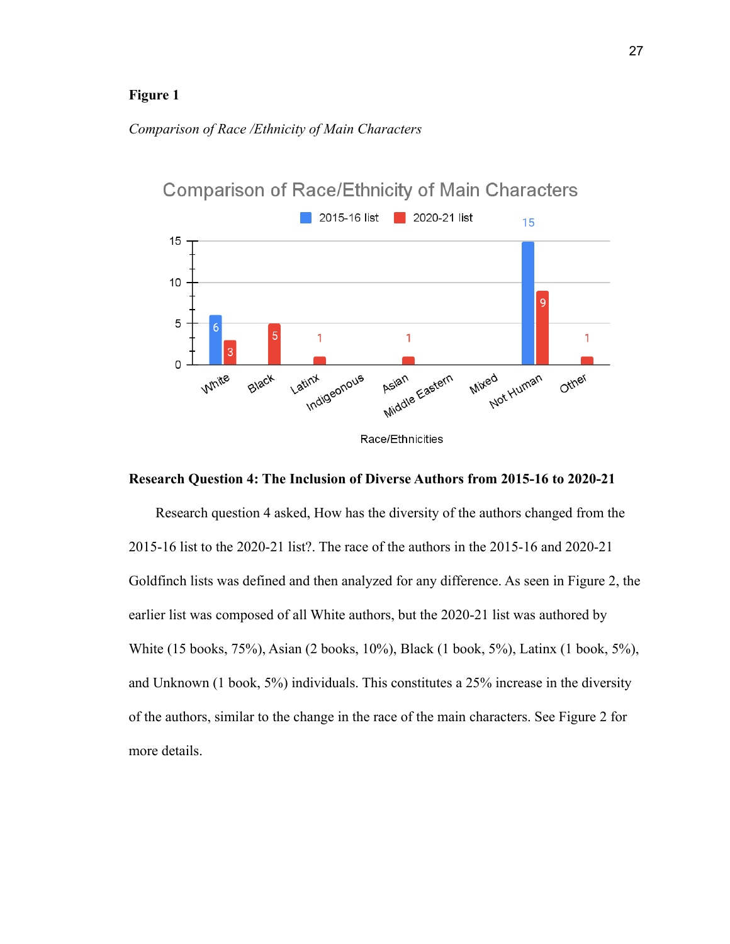## **Figure 1**





#### **Research Question 4: The Inclusion of Diverse Authors from 2015-16 to 2020-21**

Research question 4 asked, How has the diversity of the authors changed from the 2015-16 list to the 2020-21 list?. The race of the authors in the 2015-16 and 2020-21 Goldfinch lists was defined and then analyzed for any difference. As seen in Figure 2, the earlier list was composed of all White authors, but the 2020-21 list was authored by White (15 books, 75%), Asian (2 books, 10%), Black (1 book, 5%), Latinx (1 book, 5%), and Unknown (1 book, 5%) individuals. This constitutes a 25% increase in the diversity of the authors, similar to the change in the race of the main characters. See Figure 2 for more details.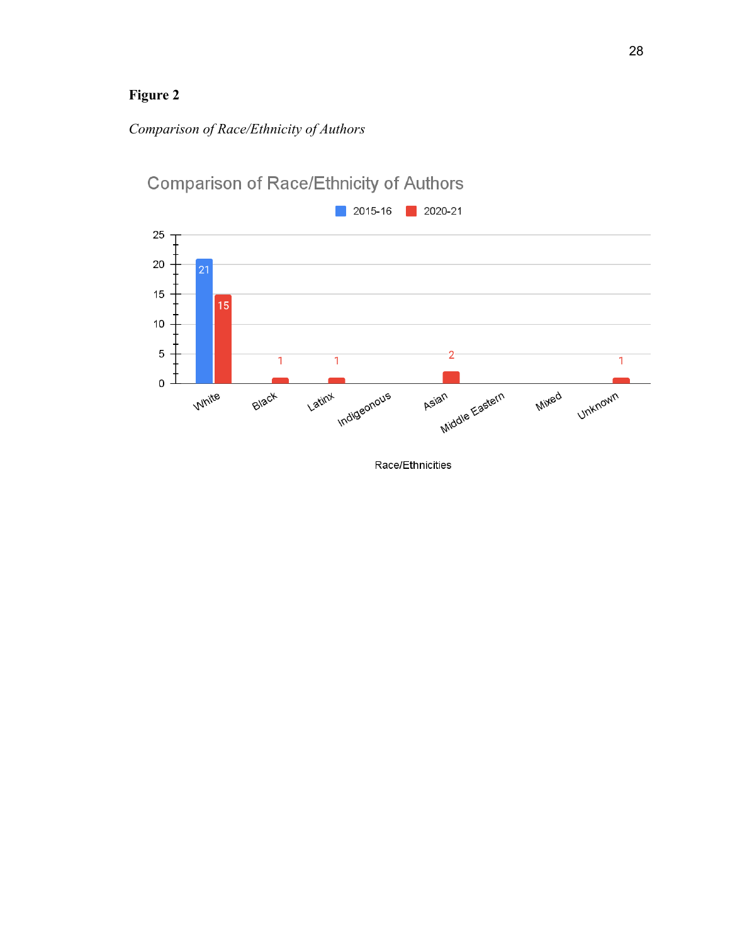# **Figure 2**

# *Comparison of Race/Ethnicity of Authors*



Race/Ethnicities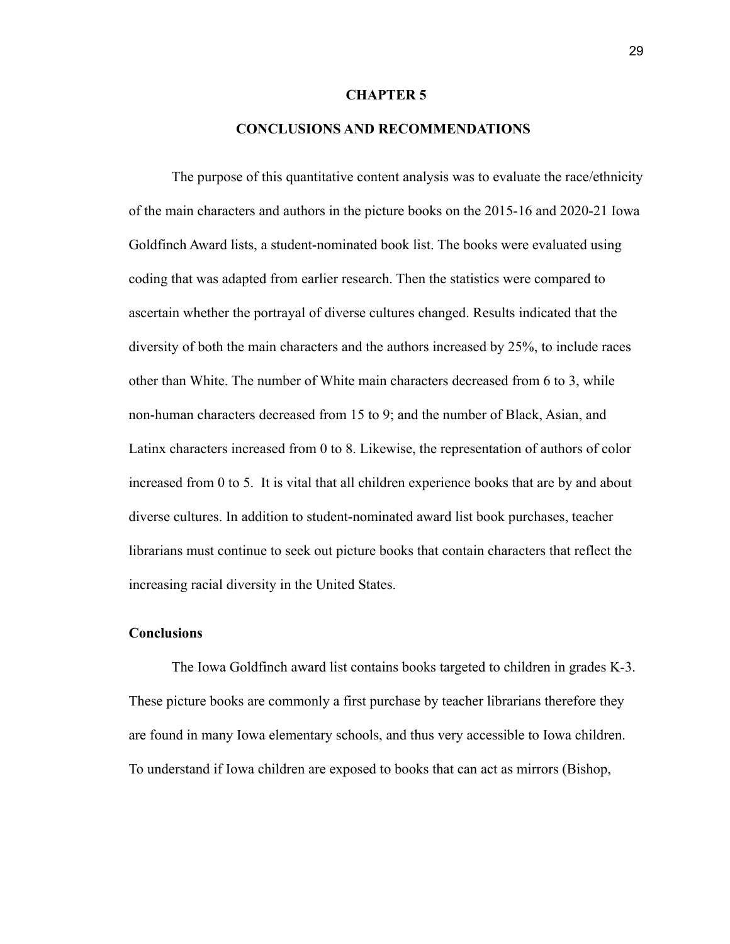#### **CHAPTER 5**

## **CONCLUSIONS AND RECOMMENDATIONS**

The purpose of this quantitative content analysis was to evaluate the race/ethnicity of the main characters and authors in the picture books on the 2015-16 and 2020-21 Iowa Goldfinch Award lists, a student-nominated book list. The books were evaluated using coding that was adapted from earlier research. Then the statistics were compared to ascertain whether the portrayal of diverse cultures changed. Results indicated that the diversity of both the main characters and the authors increased by 25%, to include races other than White. The number of White main characters decreased from 6 to 3, while non-human characters decreased from 15 to 9; and the number of Black, Asian, and Latinx characters increased from 0 to 8. Likewise, the representation of authors of color increased from 0 to 5. It is vital that all children experience books that are by and about diverse cultures. In addition to student-nominated award list book purchases, teacher librarians must continue to seek out picture books that contain characters that reflect the increasing racial diversity in the United States.

#### **Conclusions**

The Iowa Goldfinch award list contains books targeted to children in grades K-3. These picture books are commonly a first purchase by teacher librarians therefore they are found in many Iowa elementary schools, and thus very accessible to Iowa children. To understand if Iowa children are exposed to books that can act as mirrors (Bishop,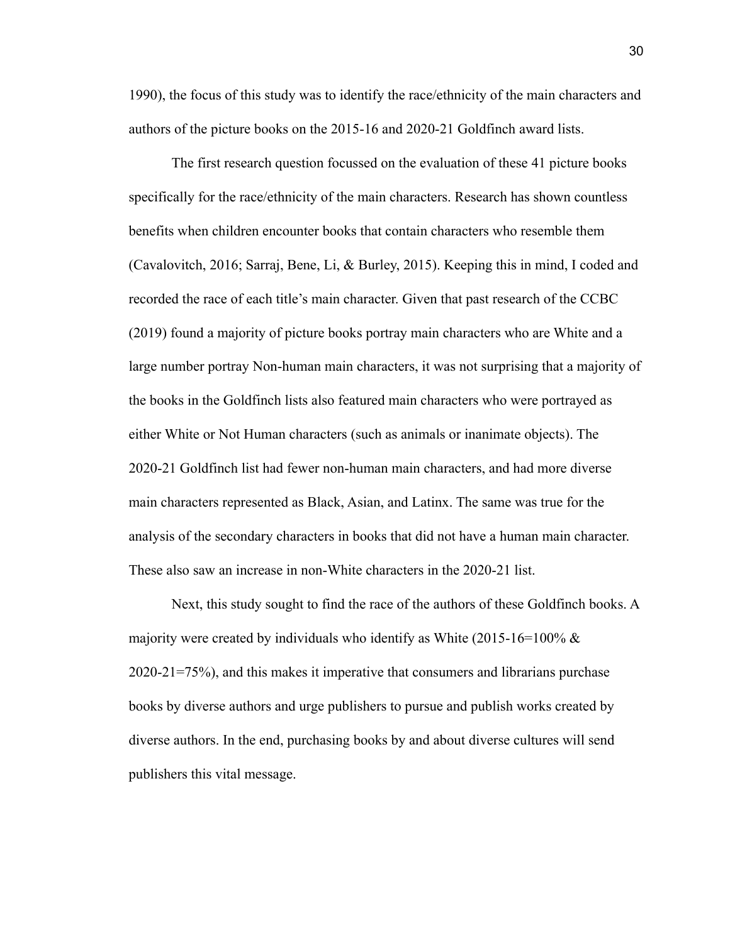1990), the focus of this study was to identify the race/ethnicity of the main characters and authors of the picture books on the 2015-16 and 2020-21 Goldfinch award lists.

The first research question focussed on the evaluation of these 41 picture books specifically for the race/ethnicity of the main characters. Research has shown countless benefits when children encounter books that contain characters who resemble them (Cavalovitch, 2016; Sarraj, Bene, Li, & Burley, 2015). Keeping this in mind, I coded and recorded the race of each title's main character. Given that past research of the CCBC (2019) found a majority of picture books portray main characters who are White and a large number portray Non-human main characters, it was not surprising that a majority of the books in the Goldfinch lists also featured main characters who were portrayed as either White or Not Human characters (such as animals or inanimate objects). The 2020-21 Goldfinch list had fewer non-human main characters, and had more diverse main characters represented as Black, Asian, and Latinx. The same was true for the analysis of the secondary characters in books that did not have a human main character. These also saw an increase in non-White characters in the 2020-21 list.

Next, this study sought to find the race of the authors of these Goldfinch books. A majority were created by individuals who identify as White (2015-16=100%  $\&$ 2020-21=75%), and this makes it imperative that consumers and librarians purchase books by diverse authors and urge publishers to pursue and publish works created by diverse authors. In the end, purchasing books by and about diverse cultures will send publishers this vital message.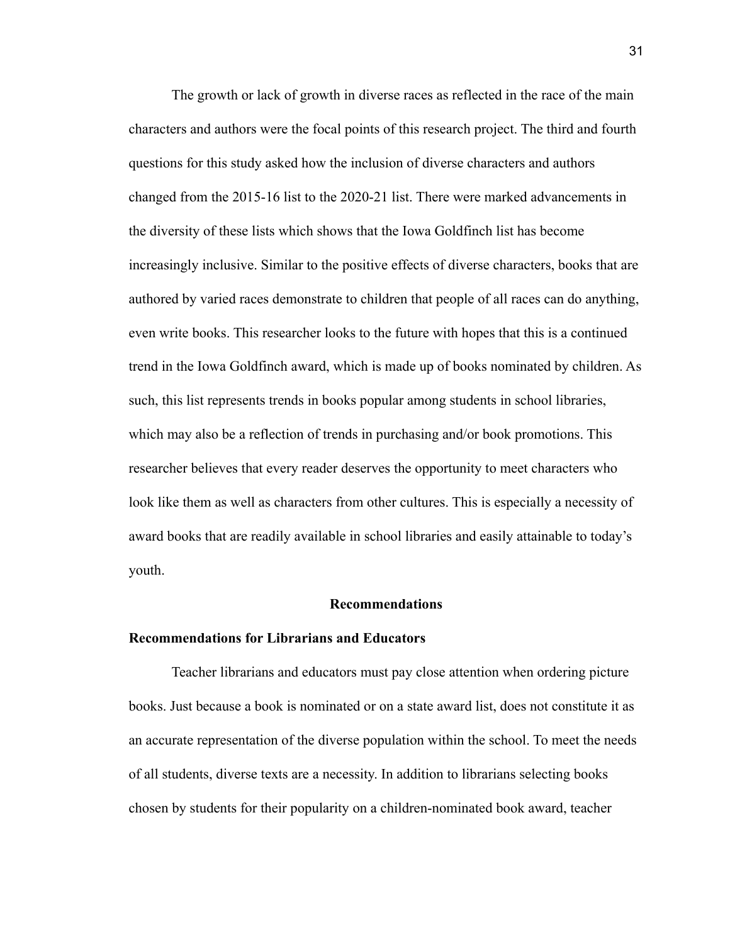The growth or lack of growth in diverse races as reflected in the race of the main characters and authors were the focal points of this research project. The third and fourth questions for this study asked how the inclusion of diverse characters and authors changed from the 2015-16 list to the 2020-21 list. There were marked advancements in the diversity of these lists which shows that the Iowa Goldfinch list has become increasingly inclusive. Similar to the positive effects of diverse characters, books that are authored by varied races demonstrate to children that people of all races can do anything, even write books. This researcher looks to the future with hopes that this is a continued trend in the Iowa Goldfinch award, which is made up of books nominated by children. As such, this list represents trends in books popular among students in school libraries, which may also be a reflection of trends in purchasing and/or book promotions. This researcher believes that every reader deserves the opportunity to meet characters who look like them as well as characters from other cultures. This is especially a necessity of award books that are readily available in school libraries and easily attainable to today's youth.

#### **Recommendations**

#### **Recommendations for Librarians and Educators**

Teacher librarians and educators must pay close attention when ordering picture books. Just because a book is nominated or on a state award list, does not constitute it as an accurate representation of the diverse population within the school. To meet the needs of all students, diverse texts are a necessity. In addition to librarians selecting books chosen by students for their popularity on a children-nominated book award, teacher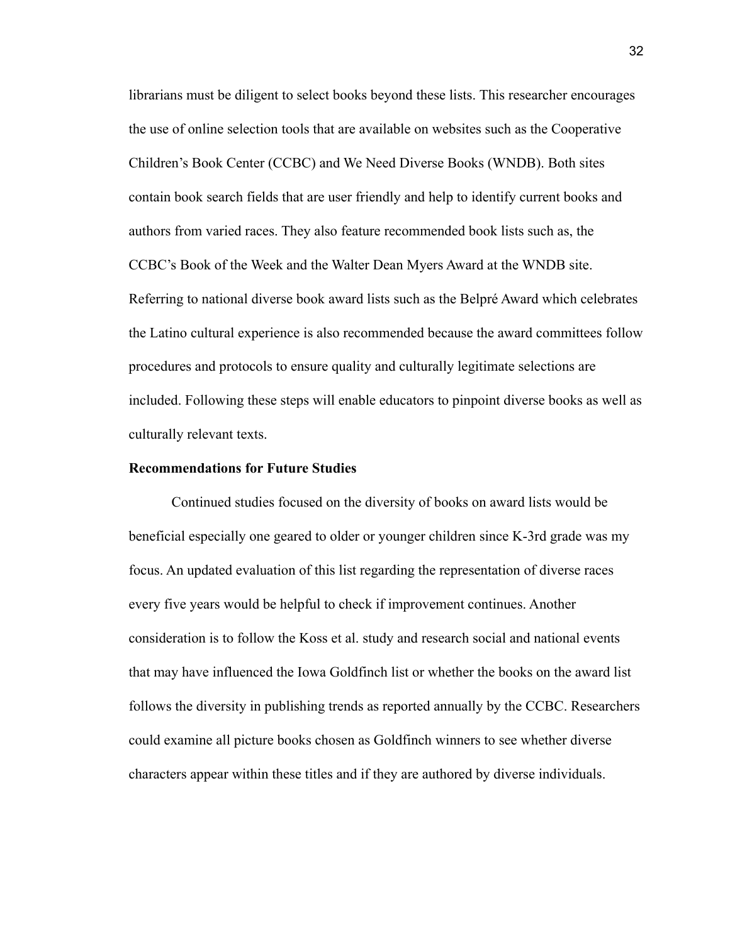librarians must be diligent to select books beyond these lists. This researcher encourages the use of online selection tools that are available on websites such as the Cooperative Children's Book Center (CCBC) and We Need Diverse Books (WNDB). Both sites contain book search fields that are user friendly and help to identify current books and authors from varied races. They also feature recommended book lists such as, the CCBC's Book of the Week and the Walter Dean Myers Award at the WNDB site. Referring to national diverse book award lists such as the Belpré Award which celebrates the Latino cultural experience is also recommended because the award committees follow procedures and protocols to ensure quality and culturally legitimate selections are included. Following these steps will enable educators to pinpoint diverse books as well as culturally relevant texts.

#### **Recommendations for Future Studies**

Continued studies focused on the diversity of books on award lists would be beneficial especially one geared to older or younger children since K-3rd grade was my focus. An updated evaluation of this list regarding the representation of diverse races every five years would be helpful to check if improvement continues. Another consideration is to follow the Koss et al. study and research social and national events that may have influenced the Iowa Goldfinch list or whether the books on the award list follows the diversity in publishing trends as reported annually by the CCBC. Researchers could examine all picture books chosen as Goldfinch winners to see whether diverse characters appear within these titles and if they are authored by diverse individuals.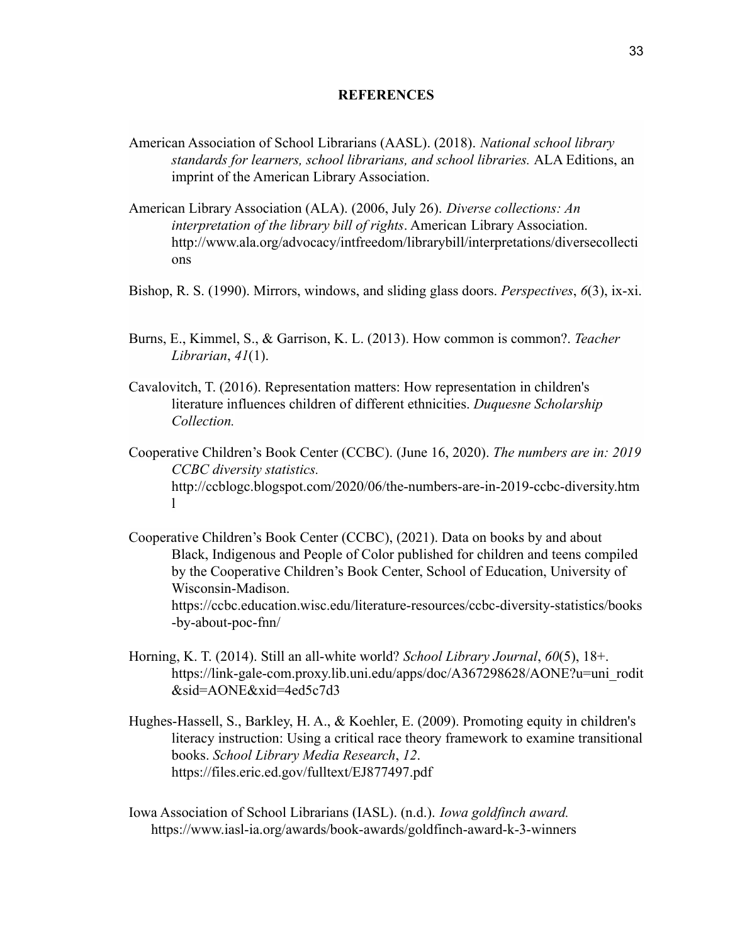#### **REFERENCES**

- American Association of School Librarians (AASL). (2018). *National school library standards for learners, school librarians, and school libraries.* ALA Editions, an imprint of the American Library Association.
- American Library Association (ALA). (2006, July 26). *Diverse collections: An interpretation of the library bill of rights*. American Library Association. http://www.ala.org/advocacy/intfreedom/librarybill/interpretations/diversecollecti ons
- Bishop, R. S. (1990). Mirrors, windows, and sliding glass doors. *Perspectives*, *6*(3), ix-xi.
- Burns, E., Kimmel, S., & Garrison, K. L. (2013). How common is common?. *Teacher Librarian*, *41*(1).
- Cavalovitch, T. (2016). Representation matters: How representation in children's literature influences children of different ethnicities. *Duquesne Scholarship Collection.*
- Cooperative Children's Book Center (CCBC). (June 16, 2020). *The numbers are in: 2019 CCBC diversity statistics.* http://ccblogc.blogspot.com/2020/06/the-numbers-are-in-2019-ccbc-diversity.htm l
- Cooperative Children's Book Center (CCBC), (2021). Data on books by and about Black, Indigenous and People of Color published for children and teens compiled by the Cooperative Children's Book Center, School of Education, University of Wisconsin-Madison. https://ccbc.education.wisc.edu/literature-resources/ccbc-diversity-statistics/books -by-about-poc-fnn/
- Horning, K. T. (2014). Still an all-white world? *School Library Journal*, *60*(5), 18+. https://link-gale-com.proxy.lib.uni.edu/apps/doc/A367298628/AONE?u=uni\_rodit &sid=AONE&xid=4ed5c7d3
- Hughes-Hassell, S., Barkley, H. A., & Koehler, E. (2009). Promoting equity in children's literacy instruction: Using a critical race theory framework to examine transitional books. *School Library Media Research*, *12*. https://files.eric.ed.gov/fulltext/EJ877497.pdf
- Iowa Association of School Librarians (IASL). (n.d.). *Iowa goldfinch award.* https://www.iasl-ia.org/awards/book-awards/goldfinch-award-k-3-winners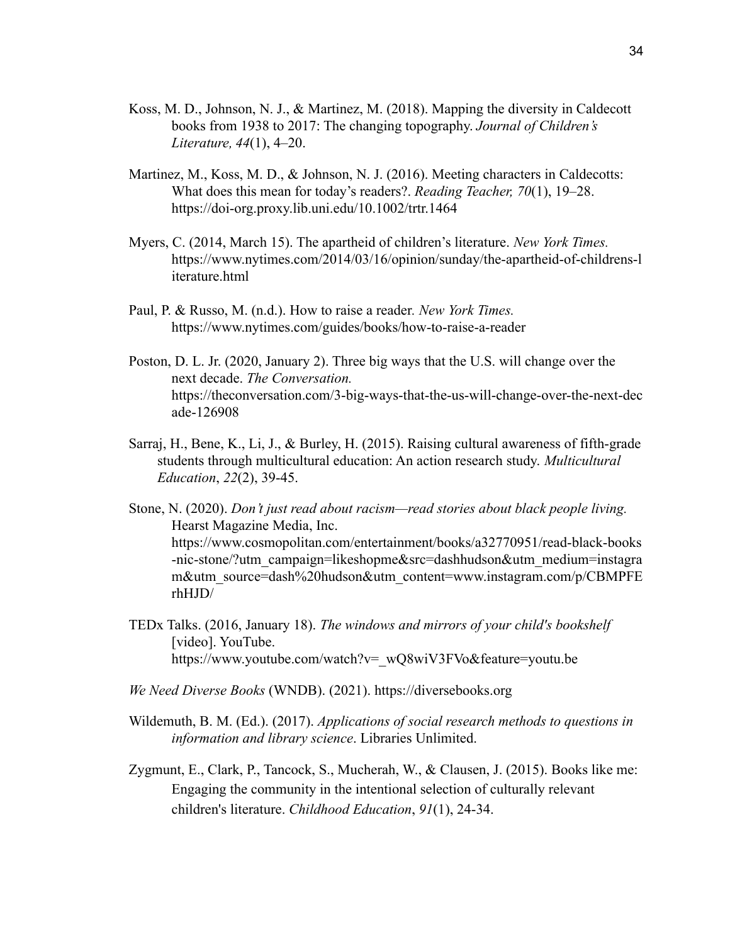- Koss, M. D., Johnson, N. J., & Martinez, M. (2018). Mapping the diversity in Caldecott books from 1938 to 2017: The changing topography. *Journal of Children's Literature, 44*(1), 4–20.
- Martinez, M., Koss, M. D., & Johnson, N. J. (2016). Meeting characters in Caldecotts: What does this mean for today's readers?. *Reading Teacher, 70*(1), 19–28. https://doi-org.proxy.lib.uni.edu/10.1002/trtr.1464
- Myers, C. (2014, March 15). The apartheid of children's literature. *New York Times.* https://www.nytimes.com/2014/03/16/opinion/sunday/the-apartheid-of-childrens-l iterature.html
- Paul, P. & Russo, M. (n.d.). How to raise a reader*. New York Times.* https://www.nytimes.com/guides/books/how-to-raise-a-reader
- Poston, D. L. Jr. (2020, January 2). Three big ways that the U.S. will change over the next decade. *The Conversation.* https://theconversation.com/3-big-ways-that-the-us-will-change-over-the-next-dec ade-126908
- Sarraj, H., Bene, K., Li, J., & Burley, H. (2015). Raising cultural awareness of fifth-grade students through multicultural education: An action research study. *Multicultural Education*, *22*(2), 39-45.
- Stone, N. (2020). *Don't just read about racism—read stories about black people living.* Hearst Magazine Media, Inc. https://www.cosmopolitan.com/entertainment/books/a32770951/read-black-books -nic-stone/?utm\_campaign=likeshopme&src=dashhudson&utm\_medium=instagra m&utm\_source=dash%20hudson&utm\_content=www.instagram.com/p/CBMPFE rhHJD/
- TEDx Talks. (2016, January 18). *The windows and mirrors of your child's bookshelf* [video]. YouTube. https://www.youtube.com/watch?v= wQ8wiV3FVo&feature=youtu.be
- *We Need Diverse Books* (WNDB). (2021). https://diversebooks.org
- Wildemuth, B. M. (Ed.). (2017). *Applications of social research methods to questions in information and library science*. Libraries Unlimited.
- Zygmunt, E., Clark, P., Tancock, S., Mucherah, W., & Clausen, J. (2015). Books like me: Engaging the community in the intentional selection of culturally relevant children's literature. *Childhood Education*, *91*(1), 24-34.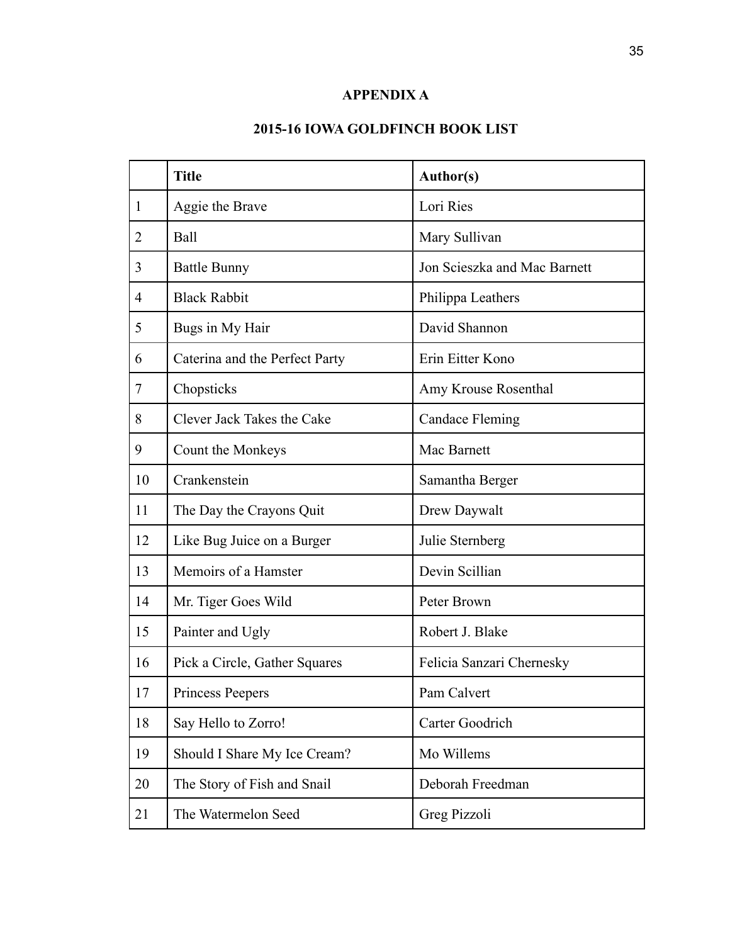# **APPENDIX A**

# **2015-16 IOWA GOLDFINCH BOOK LIST**

|    | <b>Title</b>                   | Author(s)                    |
|----|--------------------------------|------------------------------|
| 1  | Aggie the Brave                | Lori Ries                    |
| 2  | Ball                           | Mary Sullivan                |
| 3  | <b>Battle Bunny</b>            | Jon Scieszka and Mac Barnett |
| 4  | <b>Black Rabbit</b>            | Philippa Leathers            |
| 5  | Bugs in My Hair                | David Shannon                |
| 6  | Caterina and the Perfect Party | Erin Eitter Kono             |
| 7  | Chopsticks                     | Amy Krouse Rosenthal         |
| 8  | Clever Jack Takes the Cake     | <b>Candace Fleming</b>       |
| 9  | Count the Monkeys              | Mac Barnett                  |
| 10 | Crankenstein                   | Samantha Berger              |
| 11 | The Day the Crayons Quit       | Drew Daywalt                 |
| 12 | Like Bug Juice on a Burger     | Julie Sternberg              |
| 13 | Memoirs of a Hamster           | Devin Scillian               |
| 14 | Mr. Tiger Goes Wild            | Peter Brown                  |
| 15 | Painter and Ugly               | Robert J. Blake              |
| 16 | Pick a Circle, Gather Squares  | Felicia Sanzari Chernesky    |
| 17 | Princess Peepers               | Pam Calvert                  |
| 18 | Say Hello to Zorro!            | Carter Goodrich              |
| 19 | Should I Share My Ice Cream?   | Mo Willems                   |
| 20 | The Story of Fish and Snail    | Deborah Freedman             |
| 21 | The Watermelon Seed            | Greg Pizzoli                 |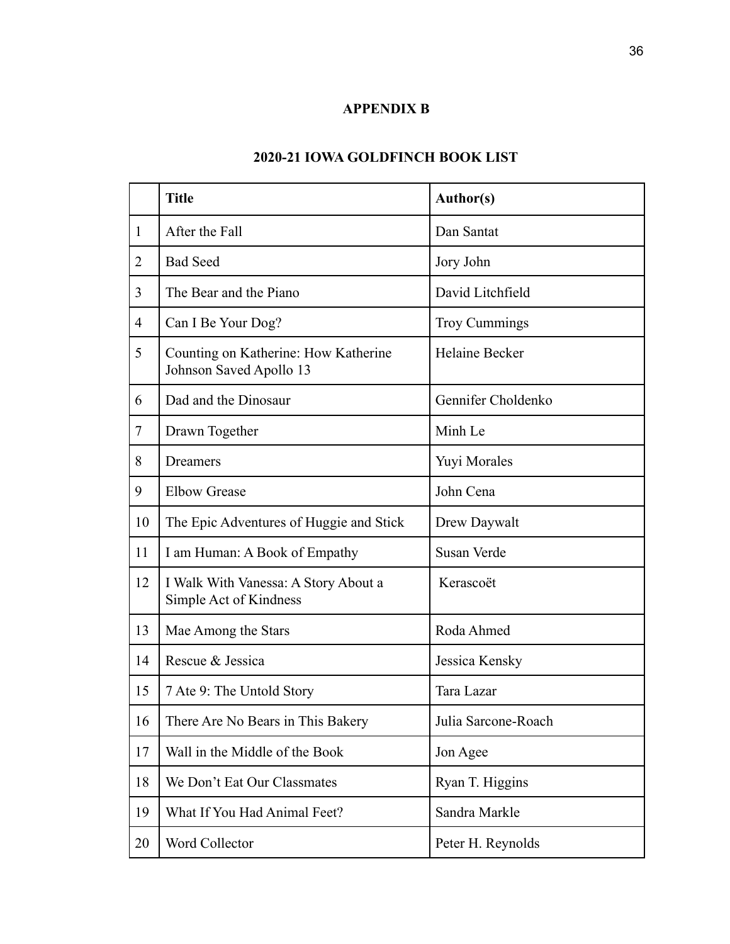# **APPENDIX B**

| 2020-21 IO WA GOLDFINCH BOOK LIST |                                                                 |                                                                                                                                                                                                                                                                                                                                    |  |
|-----------------------------------|-----------------------------------------------------------------|------------------------------------------------------------------------------------------------------------------------------------------------------------------------------------------------------------------------------------------------------------------------------------------------------------------------------------|--|
|                                   | <b>Title</b>                                                    | <b>Author(s)</b>                                                                                                                                                                                                                                                                                                                   |  |
| $\mathbf{1}$                      | After the Fall                                                  | Dan Santat                                                                                                                                                                                                                                                                                                                         |  |
| 2                                 | <b>Bad Seed</b>                                                 | Jory John                                                                                                                                                                                                                                                                                                                          |  |
| 3                                 | The Bear and the Piano                                          | David Litchfield                                                                                                                                                                                                                                                                                                                   |  |
| 4                                 | Can I Be Your Dog?                                              | <b>Troy Cummings</b>                                                                                                                                                                                                                                                                                                               |  |
| 5                                 | Counting on Katherine: How Katherine<br>Johnson Saved Apollo 13 | Helaine Becker                                                                                                                                                                                                                                                                                                                     |  |
| 6                                 | Dad and the Dinosaur                                            | Gennifer Choldenko                                                                                                                                                                                                                                                                                                                 |  |
| 7                                 | Drawn Together                                                  | Minh Le                                                                                                                                                                                                                                                                                                                            |  |
| 8                                 | Dreamers                                                        | Yuyi Morales                                                                                                                                                                                                                                                                                                                       |  |
| 9                                 | <b>Elbow Grease</b>                                             | John Cena                                                                                                                                                                                                                                                                                                                          |  |
| 10                                | The Epic Adventures of Huggie and Stick                         | Drew Daywalt                                                                                                                                                                                                                                                                                                                       |  |
| 11                                | I am Human: A Book of Empathy                                   | <b>Susan Verde</b>                                                                                                                                                                                                                                                                                                                 |  |
| 12                                | I Walk With Vanessa: A Story About a<br>Simple Act of Kindness  | Kerascoët                                                                                                                                                                                                                                                                                                                          |  |
| 13                                | Mae Among the Stars                                             | Roda Ahmed                                                                                                                                                                                                                                                                                                                         |  |
| 1 <sub>4</sub>                    | In or                                                           | $\mathbf{I}$ $\mathbf{I}$ $\mathbf{I}$ $\mathbf{I}$ $\mathbf{I}$ $\mathbf{I}$ $\mathbf{I}$ $\mathbf{I}$ $\mathbf{I}$ $\mathbf{I}$ $\mathbf{I}$ $\mathbf{I}$ $\mathbf{I}$ $\mathbf{I}$ $\mathbf{I}$ $\mathbf{I}$ $\mathbf{I}$ $\mathbf{I}$ $\mathbf{I}$ $\mathbf{I}$ $\mathbf{I}$ $\mathbf{I}$ $\mathbf{I}$ $\mathbf{I}$ $\mathbf{$ |  |

## **2020-21 IOWA GOLDFINCH BOOK LIST**

| 1 T | I am Human, <i>A</i> DOOK OF Empathy                           | Quodii vuluv        |
|-----|----------------------------------------------------------------|---------------------|
| 12  | I Walk With Vanessa: A Story About a<br>Simple Act of Kindness | Kerascoët           |
| 13  | Mae Among the Stars                                            | Roda Ahmed          |
| 14  | Rescue & Jessica                                               | Jessica Kensky      |
| 15  | 7 Ate 9: The Untold Story                                      | Tara Lazar          |
| 16  | There Are No Bears in This Bakery                              | Julia Sarcone-Roach |
| 17  | Wall in the Middle of the Book                                 | Jon Agee            |
| 18  | We Don't Eat Our Classmates                                    | Ryan T. Higgins     |
| 19  | What If You Had Animal Feet?                                   | Sandra Markle       |
| 20  | Word Collector                                                 | Peter H. Reynolds   |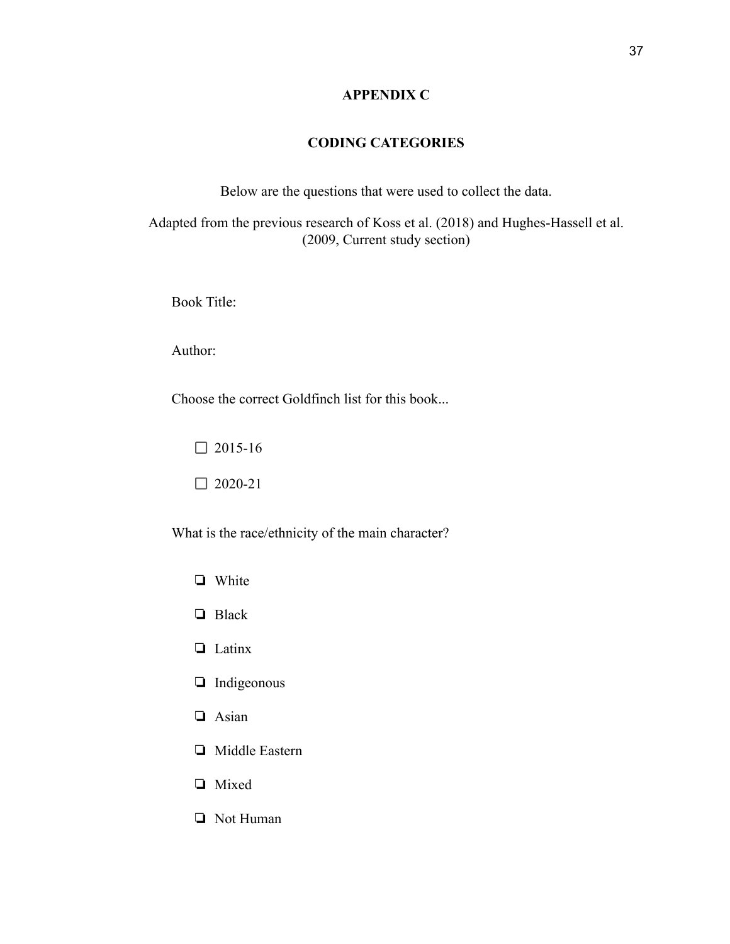## **APPENDIX C**

## **CODING CATEGORIES**

Below are the questions that were used to collect the data.

Adapted from the previous research of Koss et al. (2018) and Hughes-Hassell et al. (2009, Current study section)

Book Title:

Author:

Choose the correct Goldfinch list for this book...



 $\Box$  2020-21

What is the race/ethnicity of the main character?

- ❏ White
- ❏ Black
- ❏ Latinx
- ❏ Indigeonous
- ❏ Asian
- ❏ Middle Eastern
- ❏ Mixed
- ❏ Not Human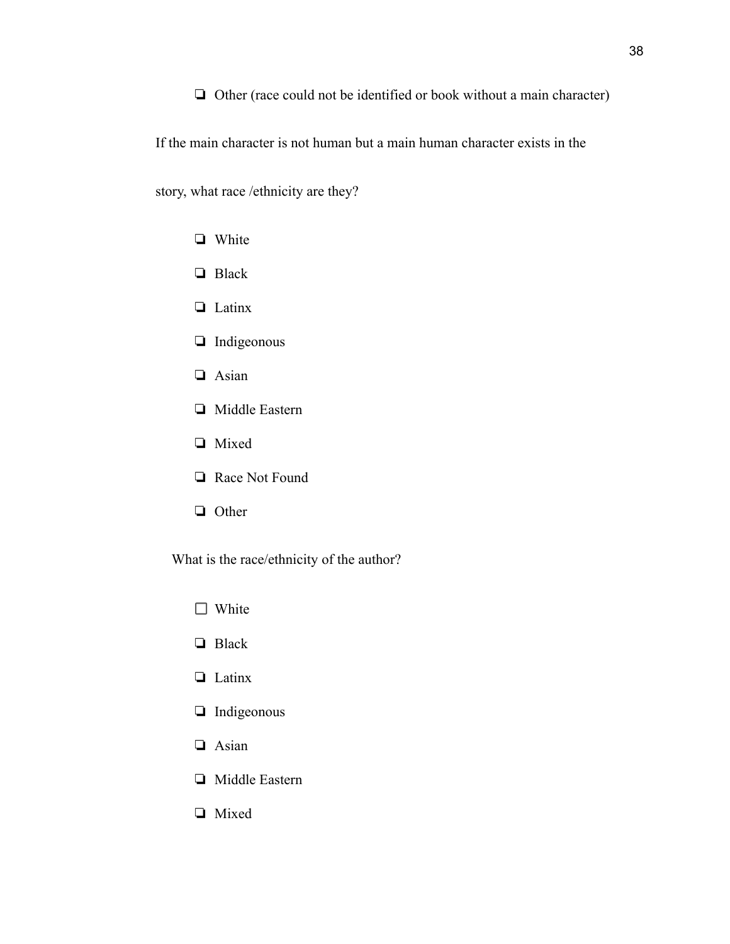If the main character is not human but a main human character exists in the

story, what race /ethnicity are they?

- ❏ White
- ❏ Black
- ❏ Latinx
- ❏ Indigeonous
- ❏ Asian
- ❏ Middle Eastern
- ❏ Mixed
- ❏ Race Not Found
- ❏ Other

What is the race/ethnicity of the author?

- □ White
- ❏ Black
- ❏ Latinx
- ❏ Indigeonous
- ❏ Asian
- ❏ Middle Eastern
- ❏ Mixed